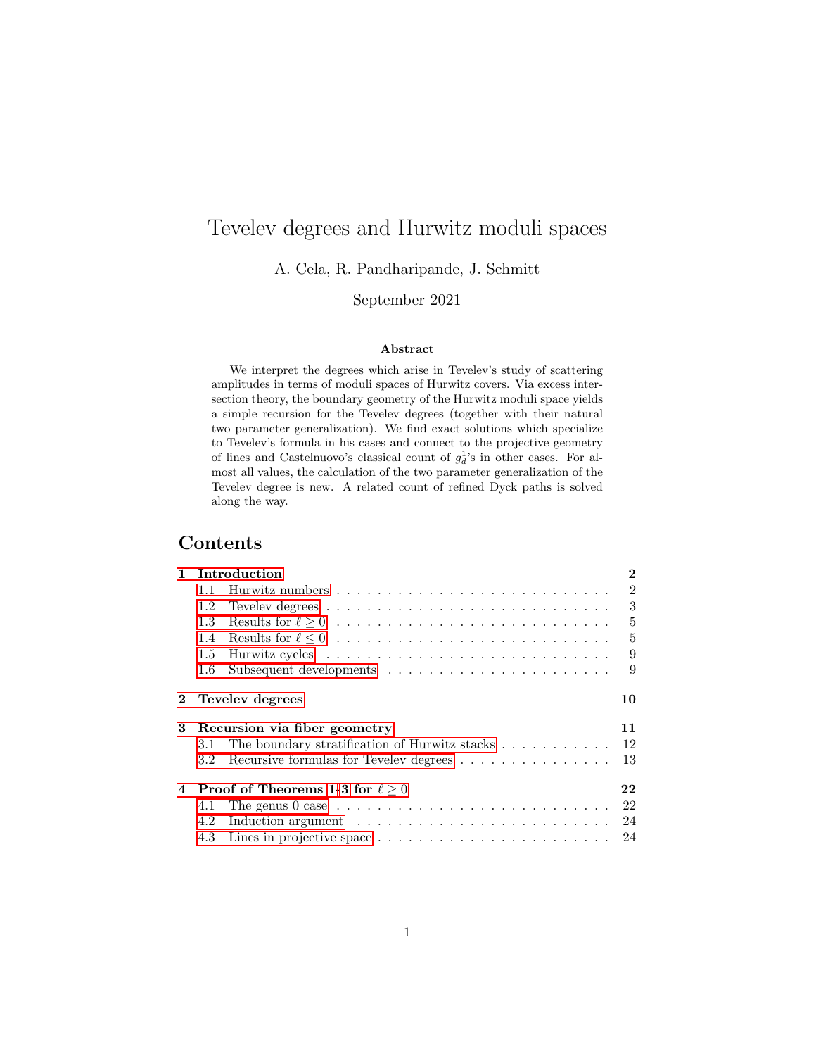# Tevelev degrees and Hurwitz moduli spaces

A. Cela, R. Pandharipande, J. Schmitt

## September 2021

#### Abstract

We interpret the degrees which arise in Tevelev's study of scattering amplitudes in terms of moduli spaces of Hurwitz covers. Via excess intersection theory, the boundary geometry of the Hurwitz moduli space yields a simple recursion for the Tevelev degrees (together with their natural two parameter generalization). We find exact solutions which specialize to Tevelev's formula in his cases and connect to the projective geometry of lines and Castelnuovo's classical count of  $g_d^1$ 's in other cases. For almost all values, the calculation of the two parameter generalization of the Tevelev degree is new. A related count of refined Dyck paths is solved along the way.

# Contents

|   | 1 Introduction<br>$\bf{2}$                   |                                                                                     |                |  |  |  |  |  |  |
|---|----------------------------------------------|-------------------------------------------------------------------------------------|----------------|--|--|--|--|--|--|
|   | 1.1                                          |                                                                                     | 2              |  |  |  |  |  |  |
|   | 1.2                                          |                                                                                     | 3              |  |  |  |  |  |  |
|   | 1.3                                          |                                                                                     | $\overline{5}$ |  |  |  |  |  |  |
|   | $1.4^{\circ}$                                |                                                                                     | $\overline{5}$ |  |  |  |  |  |  |
|   | 1.5                                          |                                                                                     | 9              |  |  |  |  |  |  |
|   | 1.6                                          |                                                                                     | 9              |  |  |  |  |  |  |
|   |                                              | 2 Tevelev degrees                                                                   | 10             |  |  |  |  |  |  |
| 3 | Recursion via fiber geometry                 |                                                                                     |                |  |  |  |  |  |  |
|   | 3.1                                          | The boundary stratification of Hurwitz stacks                                       | 12             |  |  |  |  |  |  |
|   | $3.2\phantom{0}$                             | Recursive formulas for Tevelev degrees                                              | 13             |  |  |  |  |  |  |
|   | 4 Proof of Theorems 1-3 for $\ell > 0$<br>22 |                                                                                     |                |  |  |  |  |  |  |
|   | 4.1                                          | The genus $0$ case $\ldots \ldots \ldots \ldots \ldots \ldots \ldots \ldots \ldots$ | 22             |  |  |  |  |  |  |
|   | 4.2                                          |                                                                                     | 24             |  |  |  |  |  |  |
|   |                                              |                                                                                     |                |  |  |  |  |  |  |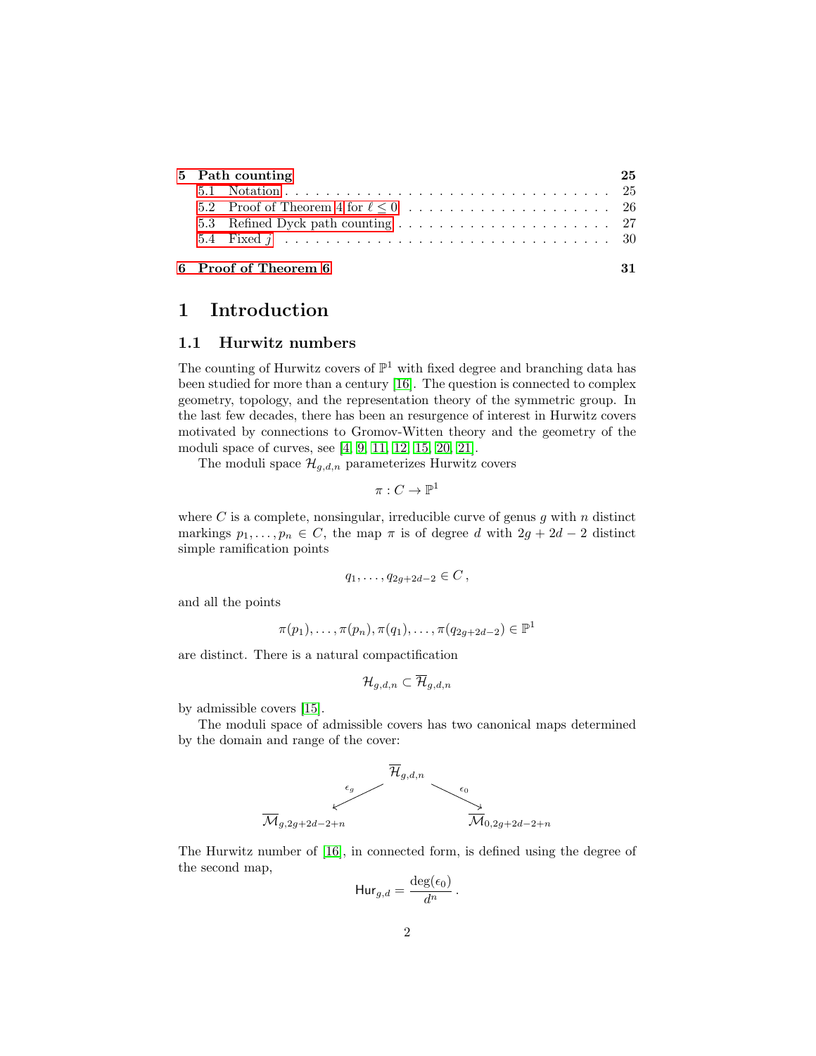| 5 Path counting |                      |  |  |  |  |  |
|-----------------|----------------------|--|--|--|--|--|
|                 |                      |  |  |  |  |  |
|                 |                      |  |  |  |  |  |
|                 |                      |  |  |  |  |  |
|                 |                      |  |  |  |  |  |
|                 | 6 Proof of Theorem 6 |  |  |  |  |  |

# <span id="page-1-0"></span>1 Introduction

#### <span id="page-1-1"></span>1.1 Hurwitz numbers

The counting of Hurwitz covers of  $\mathbb{P}^1$  with fixed degree and branching data has been studied for more than a century [\[16\]](#page-33-0). The question is connected to complex geometry, topology, and the representation theory of the symmetric group. In the last few decades, there has been an resurgence of interest in Hurwitz covers motivated by connections to Gromov-Witten theory and the geometry of the moduli space of curves, see [\[4,](#page-33-1) [9,](#page-33-2) [11,](#page-33-3) [12,](#page-33-4) [15,](#page-33-5) [20,](#page-34-0) [21\]](#page-34-1).

The moduli space  $\mathcal{H}_{q,d,n}$  parameterizes Hurwitz covers

$$
\pi:C\to \mathbb{P}^1
$$

where C is a complete, nonsingular, irreducible curve of genus q with  $n$  distinct markings  $p_1, \ldots, p_n \in C$ , the map  $\pi$  is of degree d with  $2g + 2d - 2$  distinct simple ramification points

$$
q_1, \ldots, q_{2g+2d-2} \in C
$$
,

and all the points

$$
\pi(p_1), \ldots, \pi(p_n), \pi(q_1), \ldots, \pi(q_{2g+2d-2}) \in \mathbb{P}^1
$$

are distinct. There is a natural compactification

$$
\mathcal{H}_{g,d,n}\subset\overline{\mathcal{H}}_{g,d,n}
$$

by admissible covers [\[15\]](#page-33-5).

The moduli space of admissible covers has two canonical maps determined by the domain and range of the cover:



The Hurwitz number of [\[16\]](#page-33-0), in connected form, is defined using the degree of the second map,

$$
Hur_{g,d} = \frac{\deg(\epsilon_0)}{d^n}.
$$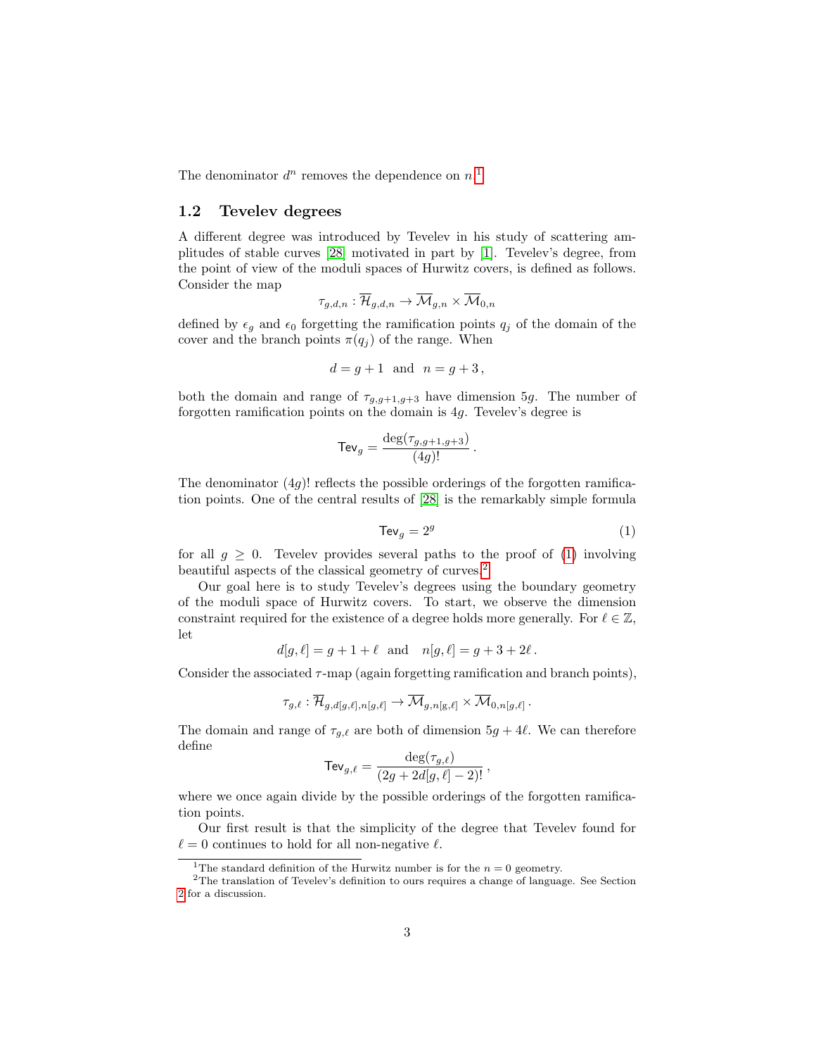The denominator  $d^n$  removes the dependence on  $n<sup>1</sup>$  $n<sup>1</sup>$  $n<sup>1</sup>$ 

### <span id="page-2-0"></span>1.2 Tevelev degrees

A different degree was introduced by Tevelev in his study of scattering amplitudes of stable curves [\[28\]](#page-34-2) motivated in part by [\[1\]](#page-32-0). Tevelev's degree, from the point of view of the moduli spaces of Hurwitz covers, is defined as follows. Consider the map

$$
\tau_{g,d,n}:\overline{\mathcal{H}}_{g,d,n}\rightarrow \overline{\mathcal{M}}_{g,n}\times \overline{\mathcal{M}}_{0,n}
$$

defined by  $\epsilon_q$  and  $\epsilon_0$  forgetting the ramification points  $q_i$  of the domain of the cover and the branch points  $\pi(q_i)$  of the range. When

$$
d = g + 1 \quad \text{and} \quad n = g + 3,
$$

both the domain and range of  $\tau_{g,g+1,g+3}$  have dimension 5g. The number of forgotten ramification points on the domain is 4g. Tevelev's degree is

$$
\mathsf{Tev}_g = \frac{\deg(\tau_{g,g+1,g+3})}{(4g)!}.
$$

<span id="page-2-2"></span>The denominator  $(4g)$ ! reflects the possible orderings of the forgotten ramification points. One of the central results of [\[28\]](#page-34-2) is the remarkably simple formula

$$
Tev_g = 2^g \tag{1}
$$

for all  $g \geq 0$ . Tevelev provides several paths to the proof of [\(1\)](#page-2-2) involving beautiful aspects of the classical geometry of curves.[2](#page-2-3)

Our goal here is to study Tevelev's degrees using the boundary geometry of the moduli space of Hurwitz covers. To start, we observe the dimension constraint required for the existence of a degree holds more generally. For  $\ell \in \mathbb{Z}$ , let

$$
d[g, \ell] = g + 1 + \ell
$$
 and  $n[g, \ell] = g + 3 + 2\ell$ .

Consider the associated  $\tau$ -map (again forgetting ramification and branch points),

$$
\tau_{g,\ell} : \overline{\mathcal{H}}_{g,d[g,\ell],n[g,\ell]} \to \overline{\mathcal{M}}_{g,n[g,\ell]} \times \overline{\mathcal{M}}_{0,n[g,\ell]}.
$$

The domain and range of  $\tau_{g,\ell}$  are both of dimension  $5g + 4\ell$ . We can therefore define

$$
\mathsf{TeV}_{g,\ell} = \frac{\deg(\tau_{g,\ell})}{(2g + 2d[g,\ell] - 2)!},
$$

where we once again divide by the possible orderings of the forgotten ramification points.

Our first result is that the simplicity of the degree that Tevelev found for  $\ell = 0$  continues to hold for all non-negative  $\ell$ .

<span id="page-2-3"></span><span id="page-2-1"></span><sup>&</sup>lt;sup>1</sup>The standard definition of the Hurwitz number is for the  $n = 0$  geometry.

<sup>2</sup>The translation of Tevelev's definition to ours requires a change of language. See Section [2](#page-9-0) for a discussion.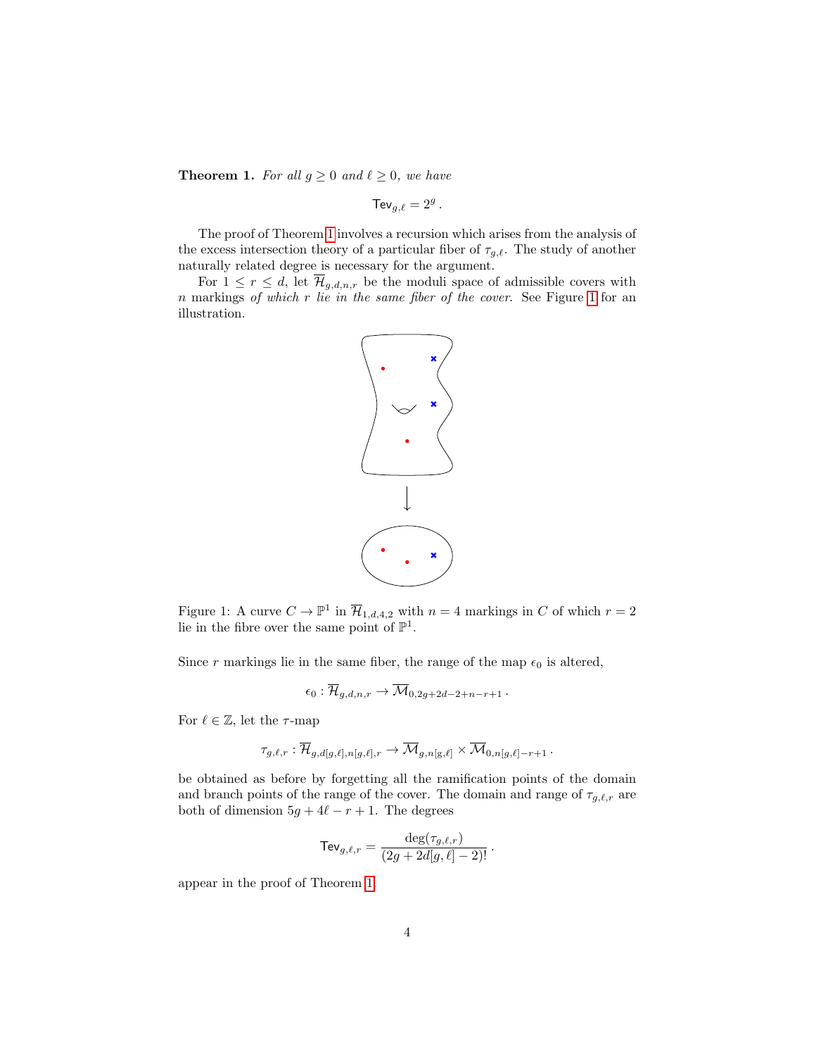<span id="page-3-0"></span>**Theorem 1.** For all  $g \geq 0$  and  $\ell \geq 0$ , we have

$$
\mathsf{TeV}_{g,\ell}=2^g
$$

.

The proof of Theorem [1](#page-3-0) involves a recursion which arises from the analysis of the excess intersection theory of a particular fiber of  $\tau_{q,\ell}$ . The study of another naturally related degree is necessary for the argument.

For  $1 \leq r \leq d$ , let  $\overline{\mathcal{H}}_{g,d,n,r}$  be the moduli space of admissible covers with  $n$  markings of which r lie in the same fiber of the cover. See Figure [1](#page-3-1) for an illustration.



<span id="page-3-1"></span>Figure 1: A curve  $C \to \mathbb{P}^1$  in  $\overline{\mathcal{H}}_{1,d,4,2}$  with  $n = 4$  markings in C of which  $r = 2$ lie in the fibre over the same point of  $\mathbb{P}^1$ .

Since r markings lie in the same fiber, the range of the map  $\epsilon_0$  is altered,

$$
\epsilon_0: \overline{\mathcal{H}}_{g,d,n,r} \to \overline{\mathcal{M}}_{0,2g+2d-2+n-r+1} \, .
$$

For  $\ell \in \mathbb{Z}$ , let the  $\tau$ -map

$$
\tau_{g,\ell,r} : \overline{\mathcal{H}}_{g,d[g,\ell],n[g,\ell],r} \to \overline{\mathcal{M}}_{g,n[g,\ell]} \times \overline{\mathcal{M}}_{0,n[g,\ell]-r+1} \, .
$$

be obtained as before by forgetting all the ramification points of the domain and branch points of the range of the cover. The domain and range of  $\tau_{g,\ell,r}$  are both of dimension  $5g + 4\ell - r + 1$ . The degrees

$$
\mathsf{TeV}_{g,\ell,r} = \frac{\deg(\tau_{g,\ell,r})}{(2g + 2d[g,\ell] - 2)!} \, .
$$

appear in the proof of Theorem [1.](#page-3-0)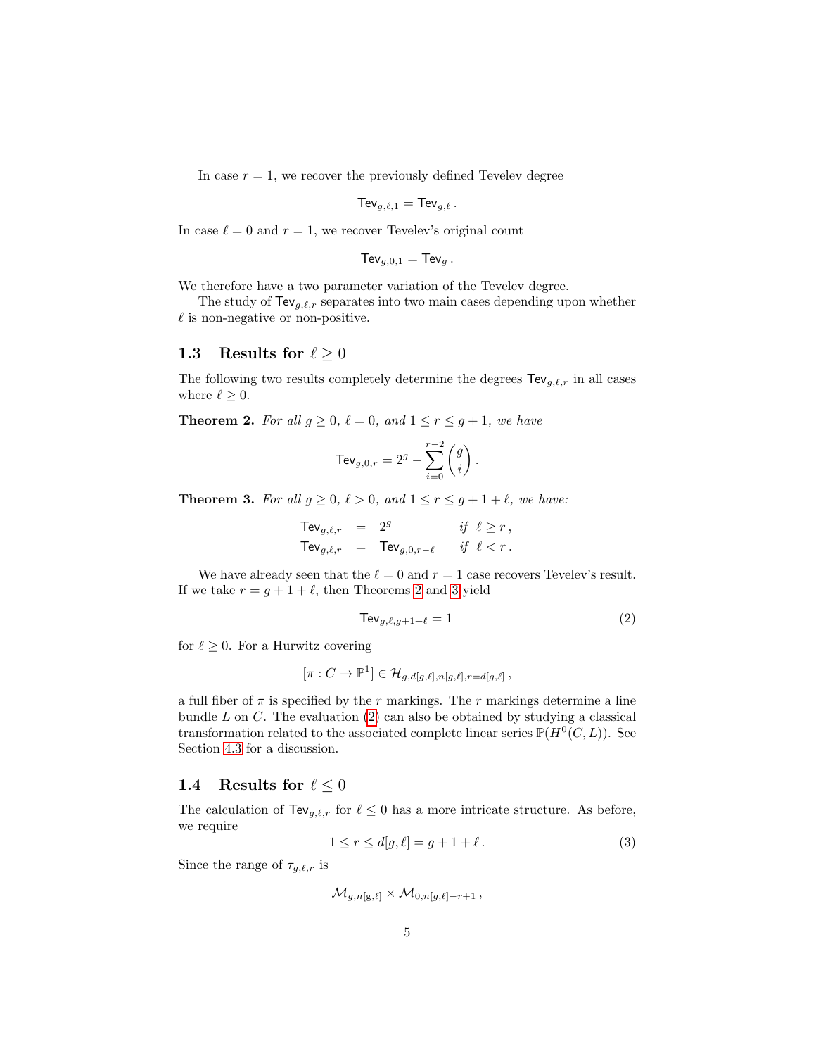In case  $r = 1$ , we recover the previously defined Tevelev degree

$$
\mathsf{TeV}_{g,\ell,1} = \mathsf{TeV}_{g,\ell} \, .
$$

In case  $\ell = 0$  and  $r = 1$ , we recover Tevelev's original count

$$
\mathsf{TeV}_{g,0,1} = \mathsf{TeV}_g.
$$

We therefore have a two parameter variation of the Tevelev degree.

The study of  $\text{TeV}_{g,\ell,r}$  separates into two main cases depending upon whether  $\ell$  is non-negative or non-positive.

#### <span id="page-4-0"></span>1.3 Results for  $\ell \geq 0$

The following two results completely determine the degrees  $\text{TeV}_{g,\ell,r}$  in all cases where  $\ell \geq 0$ .

<span id="page-4-3"></span>**Theorem 2.** For all  $g \ge 0$ ,  $\ell = 0$ , and  $1 \le r \le g + 1$ , we have

$$
\mathsf{TeV}_{g,0,r}=2^g-\sum_{i=0}^{r-2}\binom{g}{i}\,.
$$

<span id="page-4-2"></span>**Theorem 3.** For all  $g \ge 0$ ,  $\ell > 0$ , and  $1 \le r \le g + 1 + \ell$ , we have:

$$
\begin{array}{rcl}\n\mathsf{TeV}_{g,\ell,r} & = & 2^g & \text{if } \ell \ge r \,, \\
\mathsf{TeV}_{g,\ell,r} & = & \mathsf{TeV}_{g,0,r-\ell} & \text{if } \ell < r \,. \n\end{array}
$$

We have already seen that the  $\ell = 0$  and  $r = 1$  case recovers Tevelev's result. If we take  $r = g + 1 + \ell$ , then Theorems [2](#page-4-3) and [3](#page-4-2) yield

<span id="page-4-4"></span>
$$
\text{TeV}_{g,\ell,g+1+\ell} = 1\tag{2}
$$

for  $\ell \geq 0$ . For a Hurwitz covering

$$
[\pi : C \to \mathbb{P}^1] \in \mathcal{H}_{g,d[g,\ell],n[g,\ell],r=d[g,\ell]},
$$

a full fiber of  $\pi$  is specified by the r markings. The r markings determine a line bundle  $L$  on  $C$ . The evaluation  $(2)$  can also be obtained by studying a classical transformation related to the associated complete linear series  $\mathbb{P}(H^0(C, L))$ . See Section [4.3](#page-23-1) for a discussion.

#### <span id="page-4-1"></span>1.4 Results for  $\ell \leq 0$

<span id="page-4-5"></span>The calculation of  $\text{TeV}_{g,\ell,r}$  for  $\ell \leq 0$  has a more intricate structure. As before, we require

$$
1 \le r \le d[g, \ell] = g + 1 + \ell. \tag{3}
$$

Since the range of  $\tau_{q,\ell,r}$  is

$$
\overline{\mathcal{M}}_{g,n[\text{g},\ell]} \times \overline{\mathcal{M}}_{0,n[g,\ell]-r+1} \,,
$$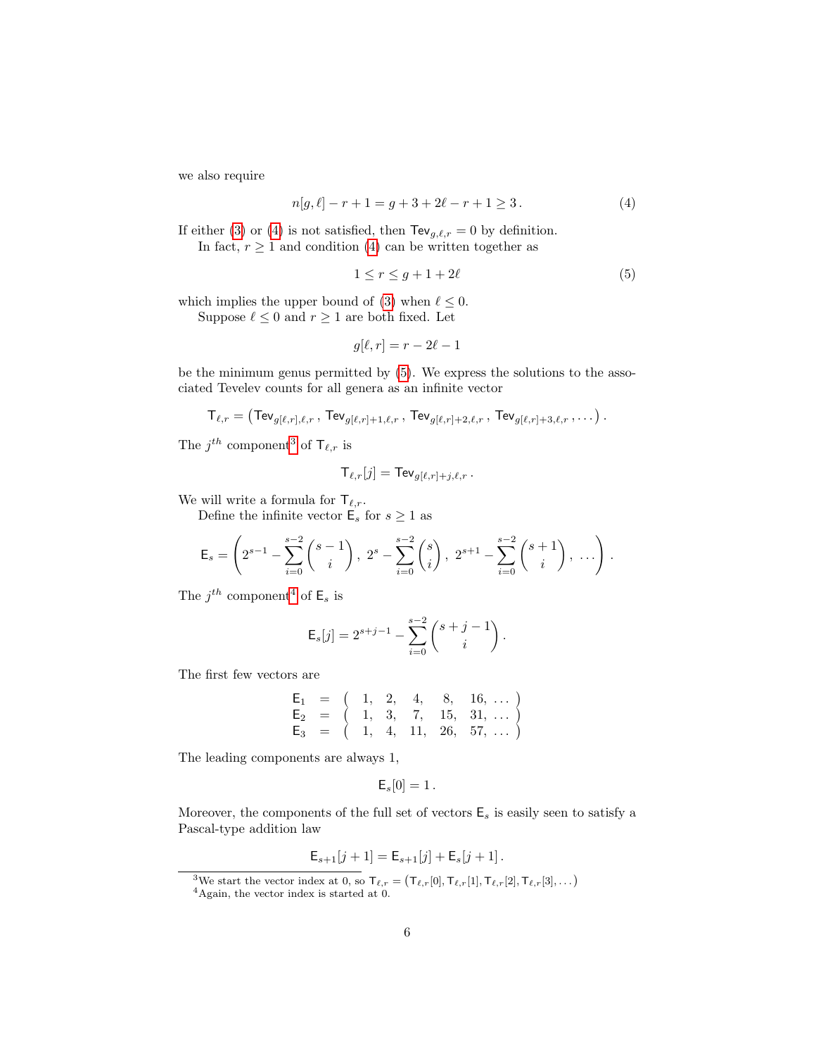we also require

<span id="page-5-0"></span>
$$
n[g, \ell] - r + 1 = g + 3 + 2\ell - r + 1 \ge 3.
$$
 (4)

If either [\(3\)](#page-4-5) or [\(4\)](#page-5-0) is not satisfied, then  $\text{TeV}_{g,\ell,r} = 0$  by definition. In fact,  $r \geq 1$  and condition [\(4\)](#page-5-0) can be written together as

<span id="page-5-1"></span>
$$
1 \le r \le g + 1 + 2\ell \tag{5}
$$

which implies the upper bound of [\(3\)](#page-4-5) when  $\ell \leq 0$ .

Suppose  $\ell \leq 0$  and  $r \geq 1$  are both fixed. Let

$$
g[\ell, r] = r - 2\ell - 1
$$

be the minimum genus permitted by [\(5\)](#page-5-1). We express the solutions to the associated Tevelev counts for all genera as an infinite vector

$$
\mathsf{T}_{\ell,r} = \left(\mathsf{TeV}_{g[\ell,r],\ell,r}\,,\,\mathsf{TeV}_{g[\ell,r]+1,\ell,r}\,,\,\mathsf{TeV}_{g[\ell,r]+2,\ell,r}\,,\,\mathsf{TeV}_{g[\ell,r]+3,\ell,r}\,,\ldots\right).
$$

The  $j^{th}$  component<sup>[3](#page-5-2)</sup> of  $\mathsf{T}_{\ell,r}$  is

$$
\mathsf{T}_{\ell,r}[j] = \mathsf{TeV}_{g[\ell,r]+j,\ell,r} \, .
$$

We will write a formula for  $\mathsf{T}_{\ell,r}$ .

Define the infinite vector  $\mathsf{E}_s$  for  $s \geq 1$  as

$$
\mathsf{E}_s = \left(2^{s-1} - \sum_{i=0}^{s-2} \binom{s-1}{i}, \ 2^s - \sum_{i=0}^{s-2} \binom{s}{i}, \ 2^{s+1} - \sum_{i=0}^{s-2} \binom{s+1}{i}, \ \ldots \right).
$$

The  $j^{th}$  component<sup>[4](#page-5-3)</sup> of  $\mathsf{E}_s$  is

$$
\mathsf{E}_s[j] = 2^{s+j-1} - \sum_{i=0}^{s-2} {s+j-1 \choose i}.
$$

The first few vectors are

$$
\begin{array}{ccccccccc}\nE_1 & = & \left( & 1, & 2, & 4, & 8, & 16, & \dots \right) \\
E_2 & = & \left( & 1, & 3, & 7, & 15, & 31, & \dots \right) \\
E_3 & = & \left( & 1, & 4, & 11, & 26, & 57, & \dots \right)\n\end{array}
$$

The leading components are always 1,

$$
\mathsf{E}_s[0] = 1.
$$

Moreover, the components of the full set of vectors  $\mathsf{E}_s$  is easily seen to satisfy a Pascal-type addition law

$$
\mathsf{E}_{s+1}[j+1] = \mathsf{E}_{s+1}[j] + \mathsf{E}_{s}[j+1].
$$

<span id="page-5-2"></span><sup>&</sup>lt;sup>3</sup>We start the vector index at 0, so  $\mathsf{T}_{\ell,r} = (\mathsf{T}_{\ell,r}[0], \mathsf{T}_{\ell,r}[1], \mathsf{T}_{\ell,r}[2], \mathsf{T}_{\ell,r}[3], \dots)$ 

<span id="page-5-3"></span> $4$ Again, the vector index is started at 0.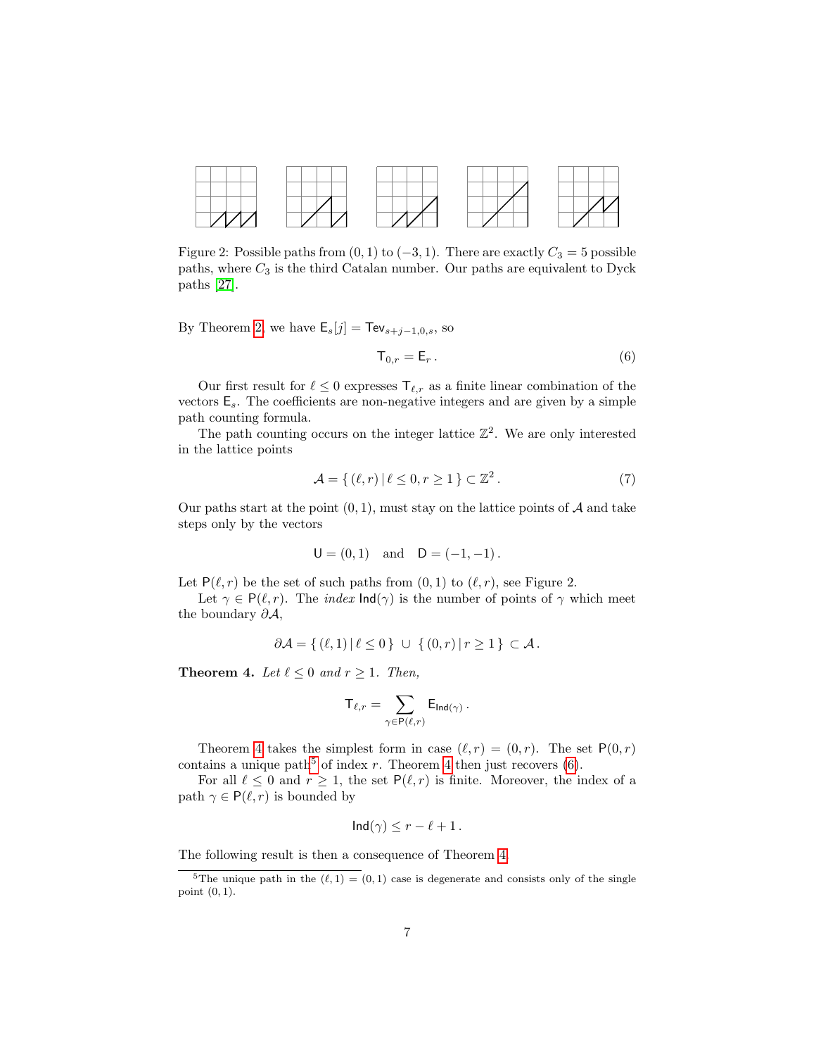

Figure 2: Possible paths from  $(0, 1)$  to  $(-3, 1)$ . There are exactly  $C_3 = 5$  possible paths, where  $C_3$  is the third Catalan number. Our paths are equivalent to Dyck paths [\[27\]](#page-34-3).

By Theorem [2,](#page-4-3) we have  $\mathsf{E}_s[j] = \mathsf{TeV}_{s+j-1,0,s}$ , so

<span id="page-6-2"></span>
$$
\mathsf{T}_{0,r} = \mathsf{E}_r \,. \tag{6}
$$

Our first result for  $\ell \leq 0$  expresses  $\mathsf{T}_{\ell,r}$  as a finite linear combination of the vectors  $\mathsf{E}_s$ . The coefficients are non-negative integers and are given by a simple path counting formula.

The path counting occurs on the integer lattice  $\mathbb{Z}^2$ . We are only interested in the lattice points

$$
\mathcal{A} = \{ (\ell, r) \mid \ell \le 0, r \ge 1 \} \subset \mathbb{Z}^2. \tag{7}
$$

Our paths start at the point  $(0, 1)$ , must stay on the lattice points of A and take steps only by the vectors

$$
U = (0, 1)
$$
 and  $D = (-1, -1)$ .

Let  $P(\ell, r)$  be the set of such paths from  $(0, 1)$  to  $(\ell, r)$ , see Figure 2.

Let  $\gamma \in P(\ell, r)$ . The *index*  $\text{Ind}(\gamma)$  is the number of points of  $\gamma$  which meet the boundary  $\partial A$ ,

$$
\partial \mathcal{A} = \{ (\ell, 1) | \ell \leq 0 \} \cup \{ (0, r) | r \geq 1 \} \subset \mathcal{A}.
$$

<span id="page-6-0"></span>**Theorem 4.** Let  $\ell \leq 0$  and  $r \geq 1$ . Then,

$$
\mathsf{T}_{\ell,r} = \sum_{\gamma \in \mathsf{P}(\ell,r)} \mathsf{E}_{\mathsf{Ind}(\gamma)} \,.
$$

Theorem [4](#page-6-0) takes the simplest form in case  $(\ell, r) = (0, r)$ . The set  $P(0, r)$ contains a unique path<sup>[5](#page-6-1)</sup> of index r. Theorem [4](#page-6-0) then just recovers  $(6)$ .

For all  $\ell \leq 0$  and  $r \geq 1$ , the set  $P(\ell, r)$  is finite. Moreover, the index of a path  $\gamma \in P(\ell, r)$  is bounded by

$$
Ind(\gamma) \leq r - \ell + 1.
$$

The following result is then a consequence of Theorem [4.](#page-6-0)

<span id="page-6-1"></span><sup>&</sup>lt;sup>5</sup>The unique path in the  $(\ell, 1) = (0, 1)$  case is degenerate and consists only of the single point (0, 1).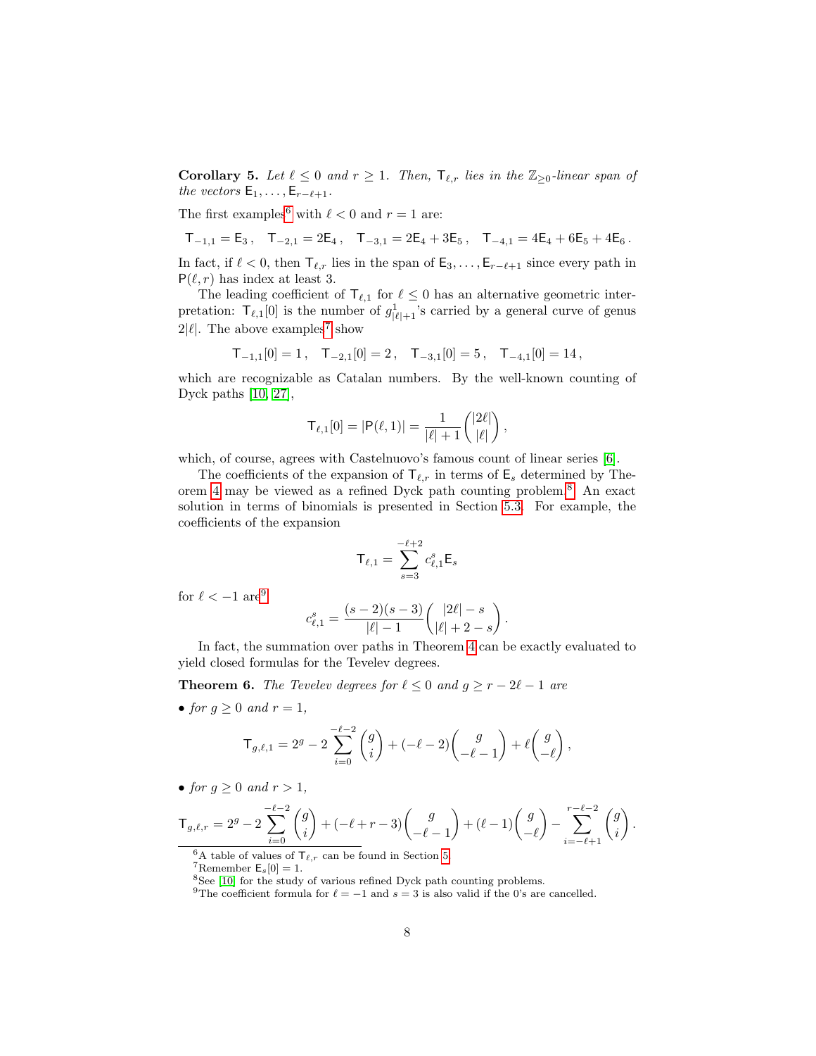<span id="page-7-5"></span>**Corollary 5.** Let  $\ell \leq 0$  and  $r \geq 1$ . Then,  $\mathsf{T}_{\ell,r}$  lies in the  $\mathbb{Z}_{\geq 0}$ -linear span of the vectors  $E_1, \ldots, E_{r-\ell+1}$ .

The first examples<sup>[6](#page-7-1)</sup> with  $\ell < 0$  and  $r = 1$  are:

$$
T_{-1,1} = E_3, \quad T_{-2,1} = 2E_4, \quad T_{-3,1} = 2E_4 + 3E_5, \quad T_{-4,1} = 4E_4 + 6E_5 + 4E_6.
$$

In fact, if  $\ell < 0$ , then  $\mathsf{T}_{\ell,r}$  lies in the span of  $\mathsf{E}_3, \ldots, \mathsf{E}_{r-\ell+1}$  since every path in  $P(\ell, r)$  has index at least 3.

The leading coefficient of  $\mathsf{T}_{\ell,1}$  for  $\ell \leq 0$  has an alternative geometric interpretation:  $\mathsf{T}_{\ell,1}[0]$  is the number of  $g_{|\ell|+1}^1$ 's carried by a general curve of genus  $2|\ell|$ . The above examples<sup>[7](#page-7-2)</sup> show

$$
\mathsf{T}_{-1,1}[0] = 1\,, \quad \mathsf{T}_{-2,1}[0] = 2\,, \quad \mathsf{T}_{-3,1}[0] = 5\,, \quad \mathsf{T}_{-4,1}[0] = 14\,,
$$

which are recognizable as Catalan numbers. By the well-known counting of Dyck paths [\[10,](#page-33-6) [27\]](#page-34-3),

$$
\mathsf{T}_{\ell,1}[0] = |\mathsf{P}(\ell,1)| = \frac{1}{|\ell|+1} \binom{|2\ell|}{|\ell|},
$$

which, of course, agrees with Castelnuovo's famous count of linear series [\[6\]](#page-33-7).

The coefficients of the expansion of  $\mathsf{T}_{\ell,r}$  in terms of  $\mathsf{E}_s$  determined by Theorem [4](#page-6-0) may be viewed as a refined Dyck path counting problem.[8](#page-7-3) An exact solution in terms of binomials is presented in Section [5.3.](#page-26-0) For example, the coefficients of the expansion

$$
\mathsf{T}_{\ell,1}=\sum_{s=3}^{-\ell+2}c_{\ell,1}^s\mathsf{E}_s
$$

for  $\ell < -1$  are<sup>[9](#page-7-4)</sup>

$$
c_{\ell,1}^s = \frac{(s-2)(s-3)}{|\ell|-1} \binom{|2\ell|-s}{|\ell|+2-s}.
$$

In fact, the summation over paths in Theorem [4](#page-6-0) can be exactly evaluated to yield closed formulas for the Tevelev degrees.

<span id="page-7-0"></span>**Theorem 6.** The Tevelev degrees for  $\ell \leq 0$  and  $g \geq r - 2\ell - 1$  are

• for  $g \geq 0$  and  $r = 1$ ,

$$
\mathsf{T}_{g,\ell,1} = 2^g - 2\sum_{i=0}^{-\ell-2} \binom{g}{i} + (-\ell-2) \binom{g}{-\ell-1} + \ell \binom{g}{-\ell},
$$

• for  $q \geq 0$  and  $r > 1$ ,

$$
\mathsf{T}_{g,\ell,r}=2^g-2\sum_{i=0}^{-\ell-2}\binom{g}{i}+(-\ell+r-3)\binom{g}{-\ell-1}+(\ell-1)\binom{g}{-\ell}-\sum_{i=-\ell+1}^{r-\ell-2}\binom{g}{i}.
$$

<span id="page-7-1"></span><sup>6</sup>A table of values of  $\mathsf{T}_{\ell,r}$  can be found in Section [5.](#page-24-0)

<span id="page-7-2"></span><sup>&</sup>lt;sup>7</sup>Remember  $\mathsf{E}_s[0] = 1$ .

<span id="page-7-3"></span><sup>&</sup>lt;sup>8</sup>See [\[10\]](#page-33-6) for the study of various refined Dyck path counting problems.

<span id="page-7-4"></span><sup>&</sup>lt;sup>9</sup>The coefficient formula for  $\ell = -1$  and  $s = 3$  is also valid if the 0's are cancelled.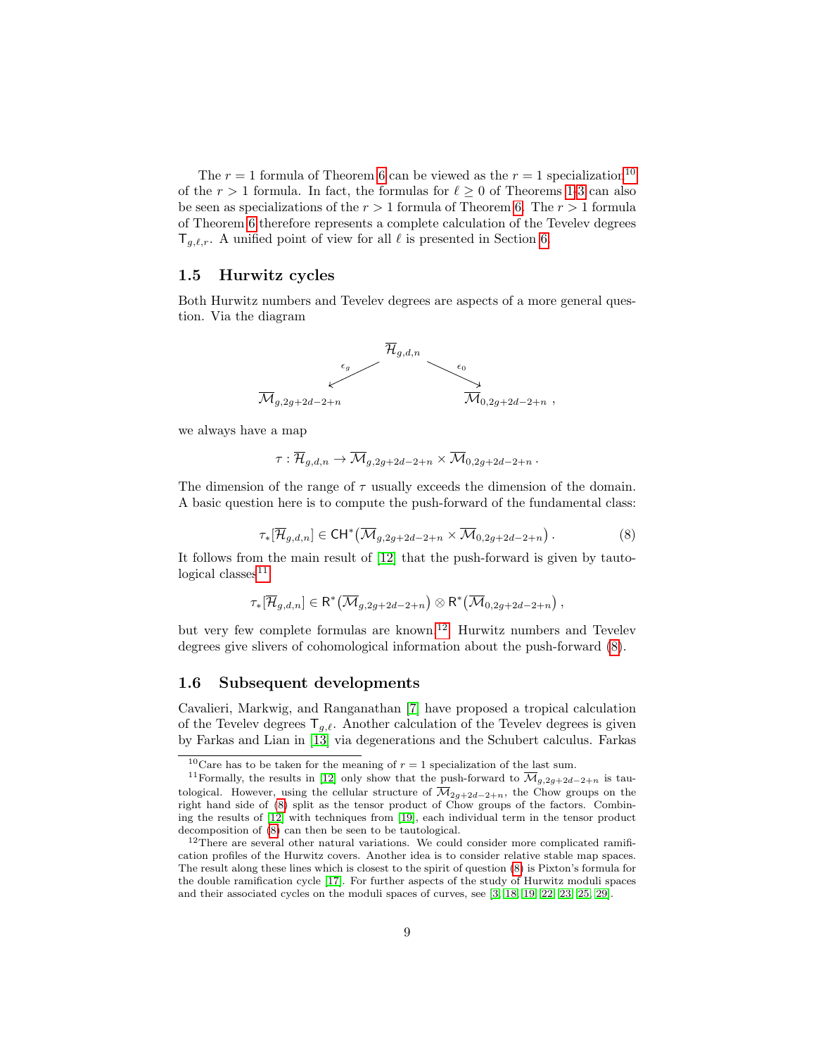The  $r = 1$  formula of Theorem [6](#page-7-0) can be viewed as the  $r = 1$  specialization<sup>[10](#page-8-2)</sup> of the  $r > 1$  $r > 1$  formula. In fact, the formulas for  $\ell \geq 0$  of Theorems 1[-3](#page-4-2) can also be seen as specializations of the  $r > 1$  formula of Theorem [6.](#page-7-0) The  $r > 1$  formula of Theorem [6](#page-7-0) therefore represents a complete calculation of the Tevelev degrees  $\mathsf{T}_{q,\ell,r}$ . A unified point of view for all  $\ell$  is presented in Section [6.](#page-30-0)

#### <span id="page-8-0"></span>1.5 Hurwitz cycles

Both Hurwitz numbers and Tevelev degrees are aspects of a more general question. Via the diagram



we always have a map

$$
\tau: \overline{\mathcal{H}}_{g,d,n} \to \overline{\mathcal{M}}_{g,2g+2d-2+n} \times \overline{\mathcal{M}}_{0,2g+2d-2+n}.
$$

<span id="page-8-5"></span>The dimension of the range of  $\tau$  usually exceeds the dimension of the domain. A basic question here is to compute the push-forward of the fundamental class:

$$
\tau_*[\overline{\mathcal{H}}_{g,d,n}] \in \mathrm{CH}^*(\overline{\mathcal{M}}_{g,2g+2d-2+n} \times \overline{\mathcal{M}}_{0,2g+2d-2+n}). \tag{8}
$$

It follows from the main result of [\[12\]](#page-33-4) that the push-forward is given by tauto- $logical classes<sup>11</sup>$  $logical classes<sup>11</sup>$  $logical classes<sup>11</sup>$ 

$$
\tau_*[\overline{\mathcal{H}}_{g,d,n}] \in \mathsf{R}^*\left(\overline{\mathcal{M}}_{g,2g+2d-2+n}\right) \otimes \mathsf{R}^*\left(\overline{\mathcal{M}}_{0,2g+2d-2+n}\right),
$$

but very few complete formulas are known.[12](#page-8-4) Hurwitz numbers and Tevelev degrees give slivers of cohomological information about the push-forward [\(8\)](#page-8-5).

#### <span id="page-8-1"></span>1.6 Subsequent developments

Cavalieri, Markwig, and Ranganathan [\[7\]](#page-33-8) have proposed a tropical calculation of the Tevelev degrees  $\mathsf{T}_{q,\ell}$ . Another calculation of the Tevelev degrees is given by Farkas and Lian in [\[13\]](#page-33-9) via degenerations and the Schubert calculus. Farkas

<span id="page-8-3"></span><span id="page-8-2"></span><sup>&</sup>lt;sup>10</sup>Care has to be taken for the meaning of  $r = 1$  specialization of the last sum.

<sup>&</sup>lt;sup>11</sup>Formally, the results in [\[12\]](#page-33-4) only show that the push-forward to  $\overline{\mathcal{M}}_{g,2g+2d-2+n}$  is tautological. However, using the cellular structure of  $\overline{\mathcal{M}}_{2g+2d-2+n}$ , the Chow groups on the right hand side of [\(8\)](#page-8-5) split as the tensor product of Chow groups of the factors. Combining the results of [\[12\]](#page-33-4) with techniques from [\[19\]](#page-33-10), each individual term in the tensor product decomposition of [\(8\)](#page-8-5) can then be seen to be tautological.

<span id="page-8-4"></span><sup>&</sup>lt;sup>12</sup>There are several other natural variations. We could consider more complicated ramification profiles of the Hurwitz covers. Another idea is to consider relative stable map spaces. The result along these lines which is closest to the spirit of question [\(8\)](#page-8-5) is Pixton's formula for the double ramification cycle [\[17\]](#page-33-11). For further aspects of the study of Hurwitz moduli spaces and their associated cycles on the moduli spaces of curves, see [\[3,](#page-33-12) [18,](#page-33-13) [19,](#page-33-10) [22,](#page-34-4) [23,](#page-34-5) [25,](#page-34-6) [29\]](#page-34-7).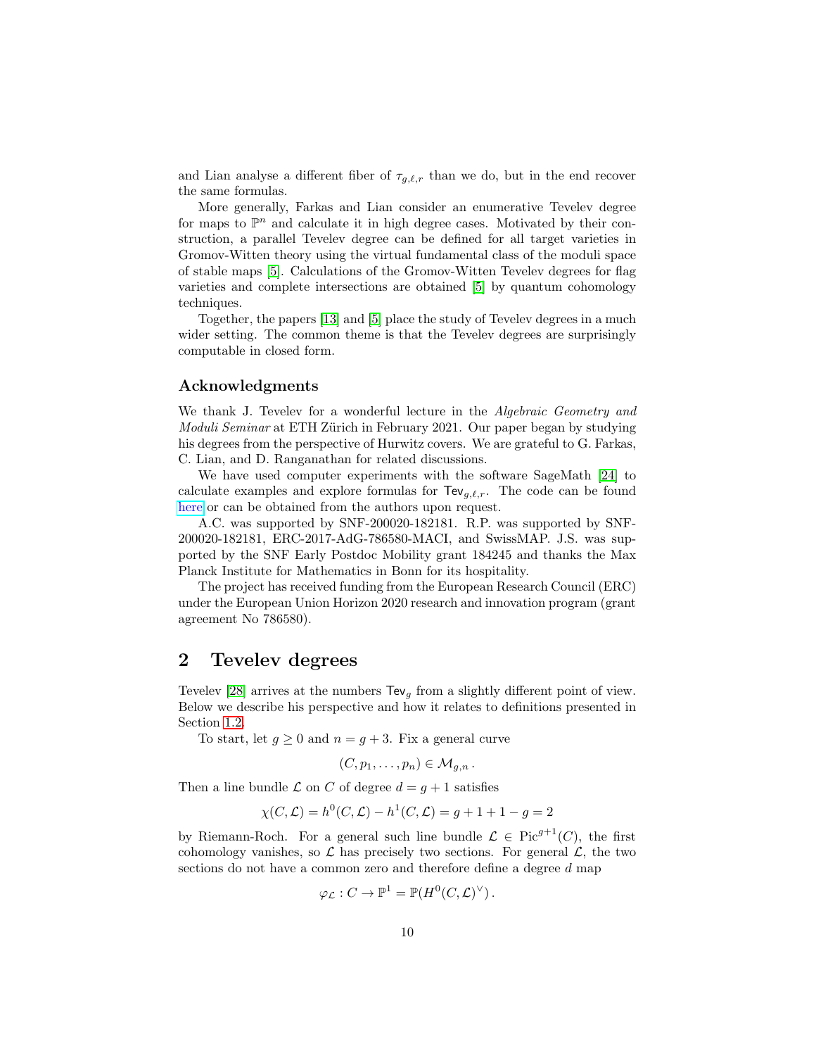and Lian analyse a different fiber of  $\tau_{g,\ell,r}$  than we do, but in the end recover the same formulas.

More generally, Farkas and Lian consider an enumerative Tevelev degree for maps to  $\mathbb{P}^n$  and calculate it in high degree cases. Motivated by their construction, a parallel Tevelev degree can be defined for all target varieties in Gromov-Witten theory using the virtual fundamental class of the moduli space of stable maps [\[5\]](#page-33-14). Calculations of the Gromov-Witten Tevelev degrees for flag varieties and complete intersections are obtained [\[5\]](#page-33-14) by quantum cohomology techniques.

Together, the papers [\[13\]](#page-33-9) and [\[5\]](#page-33-14) place the study of Tevelev degrees in a much wider setting. The common theme is that the Tevelev degrees are surprisingly computable in closed form.

#### Acknowledgments

We thank J. Tevelev for a wonderful lecture in the Algebraic Geometry and *Moduli Seminar* at ETH Zürich in February 2021. Our paper began by studying his degrees from the perspective of Hurwitz covers. We are grateful to G. Farkas, C. Lian, and D. Ranganathan for related discussions.

We have used computer experiments with the software SageMath [\[24\]](#page-34-8) to calculate examples and explore formulas for  $\text{TeV}_{q,\ell,r}$ . The code can be found [here](https://cocalc.com/share/6888accf93758e2d1a7c76d0d030f415bced300d/Tevelev%20degrees.ipynb?viewer=share) or can be obtained from the authors upon request.

A.C. was supported by SNF-200020-182181. R.P. was supported by SNF-200020-182181, ERC-2017-AdG-786580-MACI, and SwissMAP. J.S. was supported by the SNF Early Postdoc Mobility grant 184245 and thanks the Max Planck Institute for Mathematics in Bonn for its hospitality.

The project has received funding from the European Research Council (ERC) under the European Union Horizon 2020 research and innovation program (grant agreement No 786580).

# <span id="page-9-0"></span>2 Tevelev degrees

Tevelev [\[28\]](#page-34-2) arrives at the numbers  $\text{TeV}_q$  from a slightly different point of view. Below we describe his perspective and how it relates to definitions presented in Section [1.2.](#page-2-0)

To start, let  $g \geq 0$  and  $n = g + 3$ . Fix a general curve

$$
(C,p_1,\ldots,p_n)\in \mathcal{M}_{g,n}.
$$

Then a line bundle  $\mathcal L$  on C of degree  $d = q + 1$  satisfies

$$
\chi(C, \mathcal{L}) = h^0(C, \mathcal{L}) - h^1(C, \mathcal{L}) = g + 1 + 1 - g = 2
$$

by Riemann-Roch. For a general such line bundle  $\mathcal{L} \in Pic^{g+1}(C)$ , the first cohomology vanishes, so  $\mathcal L$  has precisely two sections. For general  $\mathcal L$ , the two sections do not have a common zero and therefore define a degree d map

$$
\varphi_{\mathcal{L}} : C \to \mathbb{P}^1 = \mathbb{P}(H^0(C, \mathcal{L})^{\vee}).
$$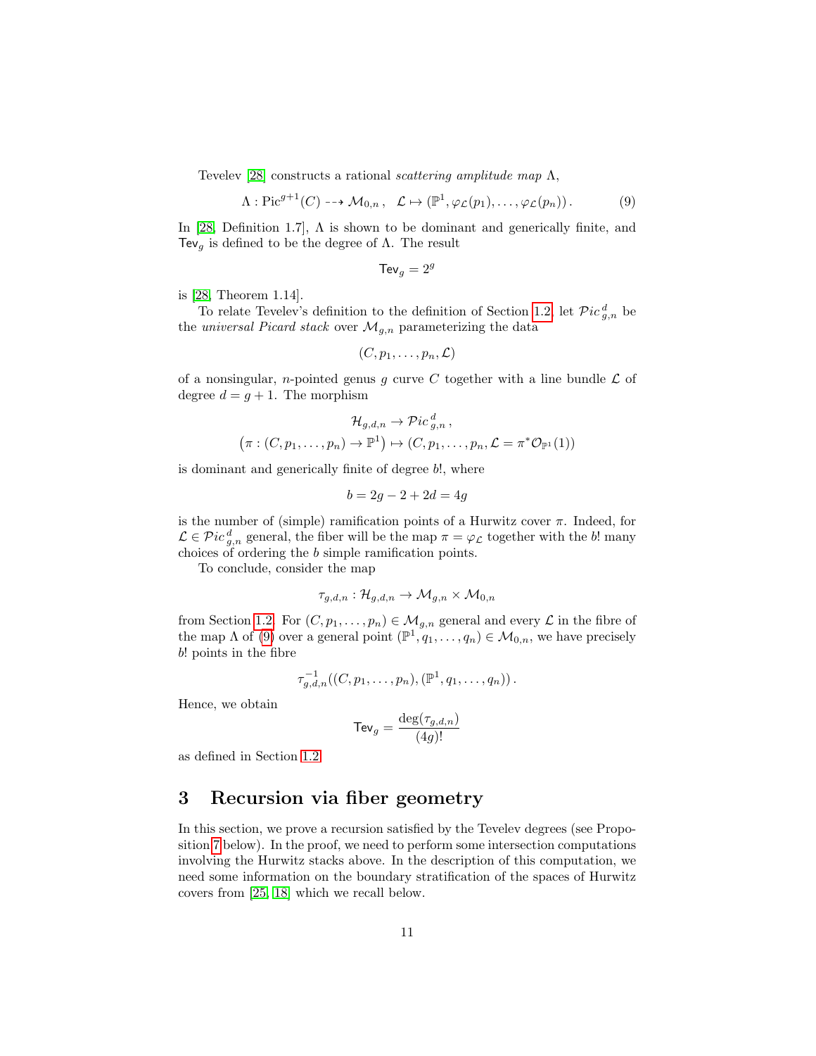Tevelev [\[28\]](#page-34-2) constructs a rational *scattering amplitude map*  $\Lambda$ ,

$$
\Lambda: \mathrm{Pic}^{g+1}(C) \dashrightarrow \mathcal{M}_{0,n}, \quad \mathcal{L} \mapsto (\mathbb{P}^1, \varphi_{\mathcal{L}}(p_1), \dots, \varphi_{\mathcal{L}}(p_n)). \tag{9}
$$

In [\[28,](#page-34-2) Definition 1.7],  $\Lambda$  is shown to be dominant and generically finite, and Tev<sub>g</sub> is defined to be the degree of  $Λ$ . The result

<span id="page-10-1"></span>
$$
\mathsf{TeV}_g = 2^g
$$

is [\[28,](#page-34-2) Theorem 1.14].

To relate Tevelev's definition to the definition of Section [1.2,](#page-2-0) let  $\mathcal Pic_{g,n}^d$  be the universal Picard stack over  $\mathcal{M}_{g,n}$  parameterizing the data

$$
(C,p_1,\ldots,p_n,\mathcal{L})
$$

of a nonsingular, *n*-pointed genus g curve C together with a line bundle  $\mathcal{L}$  of degree  $d = g + 1$ . The morphism

$$
\mathcal{H}_{g,d,n} \to \mathcal{P}ic_{g,n}^d,
$$
  

$$
(\pi:(C,p_1,\ldots,p_n)\to \mathbb{P}^1) \mapsto (C,p_1,\ldots,p_n,\mathcal{L}=\pi^*\mathcal{O}_{\mathbb{P}^1}(1))
$$

is dominant and generically finite of degree b!, where

$$
b = 2g - 2 + 2d = 4g
$$

is the number of (simple) ramification points of a Hurwitz cover  $\pi$ . Indeed, for  $\mathcal{L} \in \mathcal{P}ic^d_{g,n}$  general, the fiber will be the map  $\pi = \varphi_{\mathcal{L}}$  together with the b! many choices of ordering the b simple ramification points.

To conclude, consider the map

$$
\tau_{g,d,n}:\mathcal{H}_{g,d,n}\to \mathcal{M}_{g,n}\times \mathcal{M}_{0,n}
$$

from Section [1.2.](#page-2-0) For  $(C, p_1, \ldots, p_n) \in \mathcal{M}_{g,n}$  general and every  $\mathcal L$  in the fibre of the map  $\Lambda$  of [\(9\)](#page-10-1) over a general point  $(\mathbb{P}^1, q_1, \ldots, q_n) \in \mathcal{M}_{0,n}$ , we have precisely b! points in the fibre

$$
\tau_{g,d,n}^{-1}((C, p_1, \ldots, p_n), (\mathbb{P}^1, q_1, \ldots, q_n)).
$$

Hence, we obtain

$$
\mathsf{Tev}_g = \frac{\deg(\tau_{g,d,n})}{(4g)!}
$$

as defined in Section [1.2.](#page-2-0)

# <span id="page-10-0"></span>3 Recursion via fiber geometry

In this section, we prove a recursion satisfied by the Tevelev degrees (see Proposition [7](#page-12-1) below). In the proof, we need to perform some intersection computations involving the Hurwitz stacks above. In the description of this computation, we need some information on the boundary stratification of the spaces of Hurwitz covers from [\[25,](#page-34-6) [18\]](#page-33-13) which we recall below.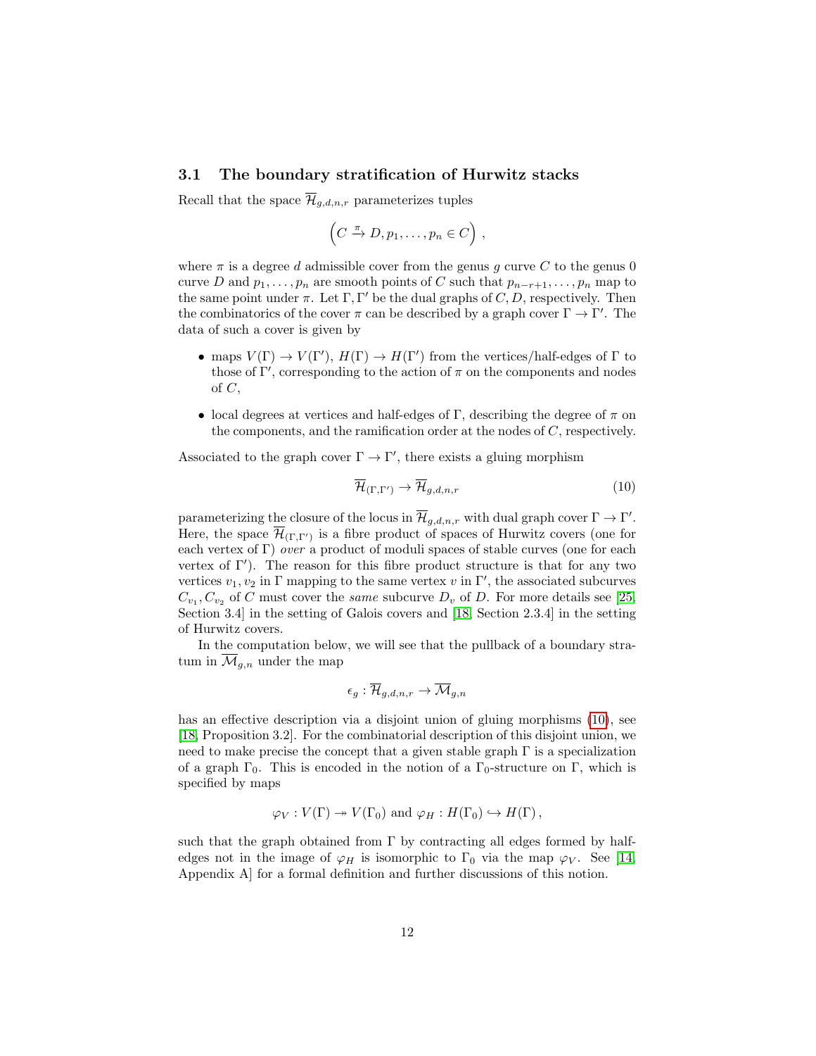#### <span id="page-11-0"></span>3.1 The boundary stratification of Hurwitz stacks

Recall that the space  $\overline{\mathcal{H}}_{g,d,n,r}$  parameterizes tuples

$$
(C \xrightarrow{\pi} D, p_1, \ldots, p_n \in C),
$$

where  $\pi$  is a degree d admissible cover from the genus q curve C to the genus 0 curve D and  $p_1, \ldots, p_n$  are smooth points of C such that  $p_{n-r+1}, \ldots, p_n$  map to the same point under  $\pi$ . Let  $\Gamma, \Gamma'$  be the dual graphs of C, D, respectively. Then the combinatorics of the cover  $\pi$  can be described by a graph cover  $\Gamma \to \Gamma'$ . The data of such a cover is given by

- maps  $V(\Gamma) \to V(\Gamma')$ ,  $H(\Gamma) \to H(\Gamma')$  from the vertices/half-edges of  $\Gamma$  to those of  $\Gamma'$ , corresponding to the action of  $\pi$  on the components and nodes of  $C$ ,
- local degrees at vertices and half-edges of Γ, describing the degree of  $\pi$  on the components, and the ramification order at the nodes of C, respectively.

Associated to the graph cover  $\Gamma \to \Gamma'$ , there exists a gluing morphism

<span id="page-11-1"></span>
$$
\overline{\mathcal{H}}_{(\Gamma,\Gamma')} \to \overline{\mathcal{H}}_{g,d,n,r} \tag{10}
$$

parameterizing the closure of the locus in  $\overline{\mathcal{H}}_{g,d,n,r}$  with dual graph cover  $\Gamma \to \Gamma'.$ Here, the space  $\overline{\mathcal{H}}_{(\Gamma,\Gamma')}$  is a fibre product of spaces of Hurwitz covers (one for each vertex of Γ) over a product of moduli spaces of stable curves (one for each vertex of  $\Gamma'$ ). The reason for this fibre product structure is that for any two vertices  $v_1, v_2$  in Γ mapping to the same vertex v in Γ', the associated subcurves  $C_{v_1}, C_{v_2}$  of C must cover the same subcurve  $D_v$  of D. For more details see [\[25,](#page-34-6) Section 3.4] in the setting of Galois covers and [\[18,](#page-33-13) Section 2.3.4] in the setting of Hurwitz covers.

In the computation below, we will see that the pullback of a boundary stratum in  $\overline{\mathcal{M}}_{q,n}$  under the map

$$
\epsilon_g: \mathcal{H}_{g,d,n,r} \to \mathcal{M}_{g,n}
$$

has an effective description via a disjoint union of gluing morphisms [\(10\)](#page-11-1), see [\[18,](#page-33-13) Proposition 3.2]. For the combinatorial description of this disjoint union, we need to make precise the concept that a given stable graph  $\Gamma$  is a specialization of a graph  $\Gamma_0$ . This is encoded in the notion of a  $\Gamma_0$ -structure on  $\Gamma$ , which is specified by maps

$$
\varphi_V: V(\Gamma) \twoheadrightarrow V(\Gamma_0)
$$
 and  $\varphi_H: H(\Gamma_0) \hookrightarrow H(\Gamma)$ ,

such that the graph obtained from  $\Gamma$  by contracting all edges formed by halfedges not in the image of  $\varphi_H$  is isomorphic to  $\Gamma_0$  via the map  $\varphi_V$ . See [\[14,](#page-33-15) Appendix A] for a formal definition and further discussions of this notion.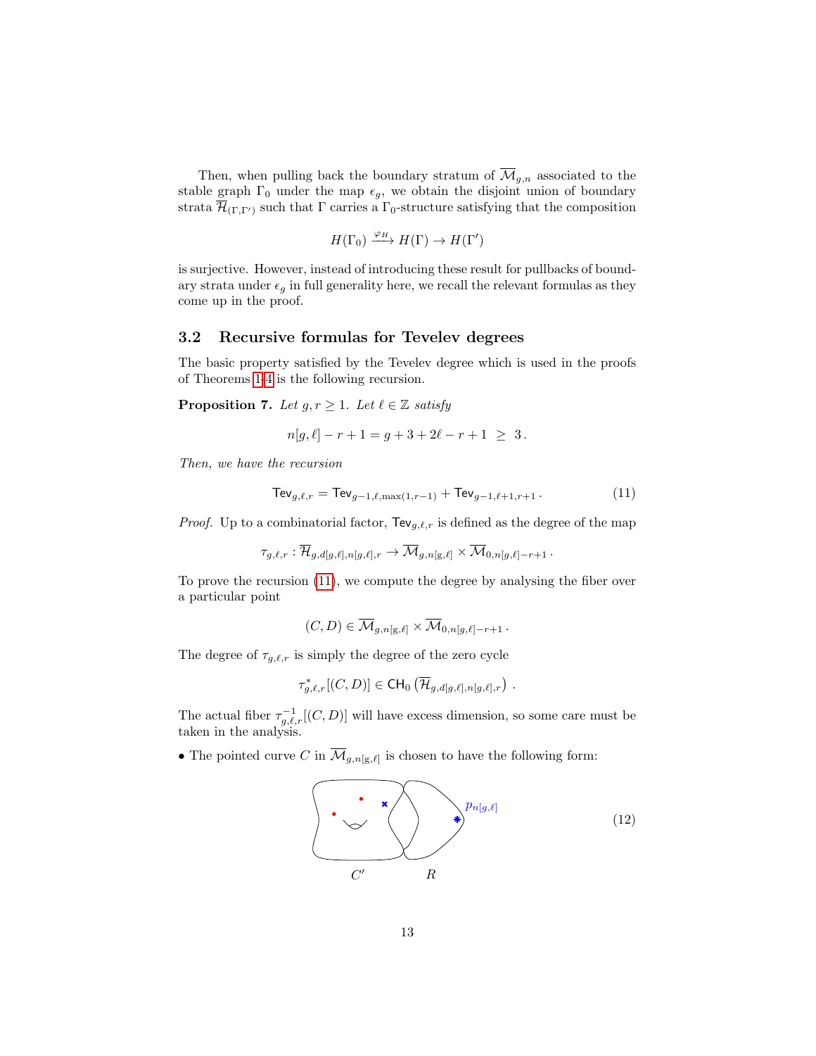Then, when pulling back the boundary stratum of  $\overline{\mathcal{M}}_{g,n}$  associated to the stable graph  $\Gamma_0$  under the map  $\epsilon_g$ , we obtain the disjoint union of boundary strata  $\mathcal{H}_{(\Gamma,\Gamma')}$  such that  $\Gamma$  carries a  $\Gamma_0$ -structure satisfying that the composition

$$
H(\Gamma_0) \xrightarrow{\varphi_H} H(\Gamma) \to H(\Gamma')
$$

is surjective. However, instead of introducing these result for pullbacks of boundary strata under  $\epsilon_g$  in full generality here, we recall the relevant formulas as they come up in the proof.

#### <span id="page-12-0"></span>3.2 Recursive formulas for Tevelev degrees

The basic property satisfied by the Tevelev degree which is used in the proofs of Theorems [1](#page-3-0)[-4](#page-6-0) is the following recursion.

<span id="page-12-1"></span>**Proposition 7.** Let  $g, r \geq 1$ . Let  $\ell \in \mathbb{Z}$  satisfy

<span id="page-12-2"></span>
$$
n[g, \ell] - r + 1 = g + 3 + 2\ell - r + 1 \geq 3.
$$

Then, we have the recursion

$$
\text{TeV}_{g,\ell,r} = \text{TeV}_{g-1,\ell,\max(1,r-1)} + \text{TeV}_{g-1,\ell+1,r+1} \,. \tag{11}
$$

*Proof.* Up to a combinatorial factor,  $\text{TeV}_{g,\ell,r}$  is defined as the degree of the map

$$
\tau_{g,\ell,r}:\overline{\mathcal{H}}_{g,d[g,\ell],n[g,\ell],r}\to\overline{\mathcal{M}}_{g,n[g,\ell]}\times\overline{\mathcal{M}}_{0,n[g,\ell]-r+1}\,.
$$

To prove the recursion [\(11\)](#page-12-2), we compute the degree by analysing the fiber over a particular point

$$
(C,D)\in \overline{\mathcal{M}}_{g,n[\mathbf{g},\ell]}\times \overline{\mathcal{M}}_{0,n[g,\ell]-r+1}\,.
$$

The degree of  $\tau_{g,\ell,r}$  is simply the degree of the zero cycle

$$
\tau_{g,\ell,r}^*[(C,D)] \in \text{CH}_0\left(\overline{\mathcal{H}}_{g,d[g,\ell],n[g,\ell],r}\right) .
$$

The actual fiber  $\tau_{g,\ell,r}^{-1}[(C,D)]$  will have excess dimension, so some care must be taken in the analysis.

• The pointed curve C in  $\overline{\mathcal{M}}_{g,n[g,\ell]}$  is chosen to have the following form:

<span id="page-12-3"></span>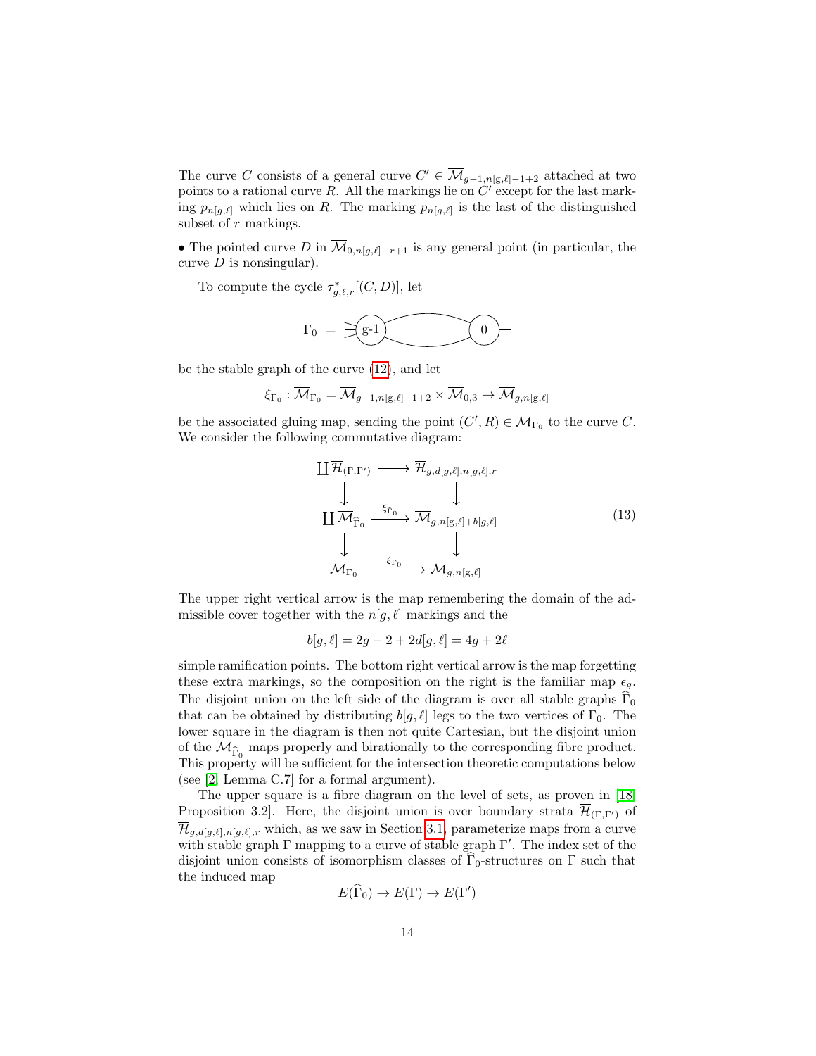The curve C consists of a general curve  $C' \in \overline{\mathcal{M}}_{g-1,n[g,\ell]-1+2}$  attached at two points to a rational curve R. All the markings lie on  $C'$  except for the last marking  $p_{n,g,\ell}$  which lies on R. The marking  $p_{n,g,\ell}$  is the last of the distinguished subset of r markings.

• The pointed curve D in  $\overline{\mathcal{M}}_{0,n[g,\ell]-r+1}$  is any general point (in particular, the curve  $D$  is nonsingular).

To compute the cycle  $\tau_{g,\ell,r}^*[(C,D)]$ , let

$$
\Gamma_0\;=\;\,\widehat{=}\,\, \underbrace{g\text{-}1}\,\,\underbrace{\qquad \qquad}\qquad \qquad 0\;\!-\!\!\!
$$

be the stable graph of the curve [\(12\)](#page-12-3), and let

$$
\xi_{\Gamma_0}:\overline{\mathcal{M}}_{\Gamma_0}=\overline{\mathcal{M}}_{g-1,n[\mathrm{g},\ell]-1+2}\times\overline{\mathcal{M}}_{0,3}\to\overline{\mathcal{M}}_{g,n[\mathrm{g},\ell]}
$$

be the associated gluing map, sending the point  $(C', R) \in \overline{\mathcal{M}}_{\Gamma_0}$  to the curve C. We consider the following commutative diagram:

<span id="page-13-0"></span>
$$
\begin{array}{ccc}\n\coprod \overline{\mathcal{H}}_{(\Gamma,\Gamma')} & \longrightarrow & \overline{\mathcal{H}}_{g,d[g,\ell],n[g,\ell],r} \\
\downarrow & & \downarrow \\
\downarrow & & \downarrow \\
\downarrow & & \downarrow \\
\downarrow & & \downarrow \\
\downarrow & & \downarrow \\
\downarrow & & \downarrow \\
\hline\n\mathcal{M}_{\Gamma_0} & \xrightarrow{\xi_{\Gamma_0}} & \mathcal{M}_{g,n[g,\ell]} \\
\downarrow & & \downarrow\n\end{array} \tag{13}
$$

The upper right vertical arrow is the map remembering the domain of the admissible cover together with the  $n[g, \ell]$  markings and the

$$
b[g, \ell] = 2g - 2 + 2d[g, \ell] = 4g + 2\ell
$$

simple ramification points. The bottom right vertical arrow is the map forgetting these extra markings, so the composition on the right is the familiar map  $\epsilon_g$ . The disjoint union on the left side of the diagram is over all stable graphs  $\Gamma_0$ that can be obtained by distributing  $b[g, \ell]$  legs to the two vertices of  $\Gamma_0$ . The lower square in the diagram is then not quite Cartesian, but the disjoint union of the  $\mathcal{M}_{\widehat{\Gamma}_0}$  maps properly and birationally to the corresponding fibre product. This property will be sufficient for the intersection theoretic computations below (see [\[2,](#page-32-1) Lemma C.7] for a formal argument).

The upper square is a fibre diagram on the level of sets, as proven in [\[18,](#page-33-13) Proposition 3.2]. Here, the disjoint union is over boundary strata  $\mathcal{H}_{(\Gamma,\Gamma')}$  of  $\overline{\mathcal{H}}_{g,d[g,\ell],n[g,\ell],r}$  which, as we saw in Section [3.1,](#page-11-0) parameterize maps from a curve with stable graph  $\Gamma$  mapping to a curve of stable graph  $\Gamma'$ . The index set of the disjoint union consists of isomorphism classes of  $\Gamma_0$ -structures on  $\Gamma$  such that the induced map

$$
E(\widehat{\Gamma}_0) \to E(\Gamma) \to E(\Gamma')
$$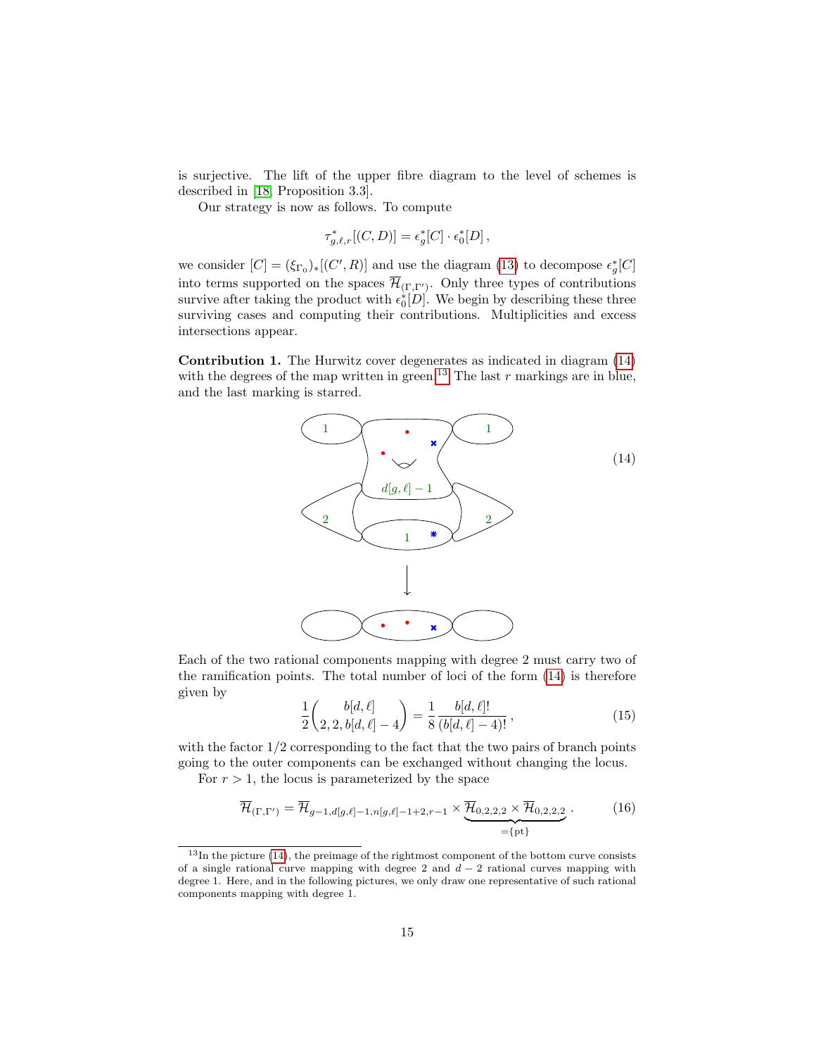is surjective. The lift of the upper fibre diagram to the level of schemes is described in [\[18,](#page-33-13) Proposition 3.3].

Our strategy is now as follows. To compute

$$
\tau_{g,\ell,r}^*[(C,D)] = \epsilon_g^*[C] \cdot \epsilon_0^*[D],
$$

we consider  $[C] = (\xi_{\Gamma_0})_*[(C', R)]$  and use the diagram [\(13\)](#page-13-0) to decompose  $\epsilon_g^*[C]$ into terms supported on the spaces  $\mathcal{H}_{(\Gamma,\Gamma')}$ . Only three types of contributions survive after taking the product with  $\epsilon_0^*[D]$ . We begin by describing these three surviving cases and computing their contributions. Multiplicities and excess intersections appear.

Contribution 1. The Hurwitz cover degenerates as indicated in diagram [\(14\)](#page-14-0) with the degrees of the map written in green.<sup>[13](#page-14-1)</sup> The last r markings are in blue, and the last marking is starred.

<span id="page-14-0"></span>

Each of the two rational components mapping with degree 2 must carry two of the ramification points. The total number of loci of the form [\(14\)](#page-14-0) is therefore given by

<span id="page-14-2"></span>
$$
\frac{1}{2}\binom{b[d,\ell]}{2,2,b[d,\ell]-4} = \frac{1}{8}\frac{b[d,\ell]!}{(b[d,\ell]-4)!},\tag{15}
$$

with the factor  $1/2$  corresponding to the fact that the two pairs of branch points going to the outer components can be exchanged without changing the locus.

For  $r > 1$ , the locus is parameterized by the space

$$
\overline{\mathcal{H}}_{(\Gamma,\Gamma')} = \overline{\mathcal{H}}_{g-1,d[g,\ell]-1,n[g,\ell]-1+2,r-1} \times \underbrace{\overline{\mathcal{H}}_{0,2,2,2} \times \overline{\mathcal{H}}_{0,2,2,2}}_{=\{\text{pt}\}}.
$$
\n(16)

<span id="page-14-1"></span><sup>&</sup>lt;sup>13</sup>In the picture [\(14\)](#page-14-0), the preimage of the rightmost component of the bottom curve consists of a single rational curve mapping with degree 2 and  $d-2$  rational curves mapping with degree 1. Here, and in the following pictures, we only draw one representative of such rational components mapping with degree 1.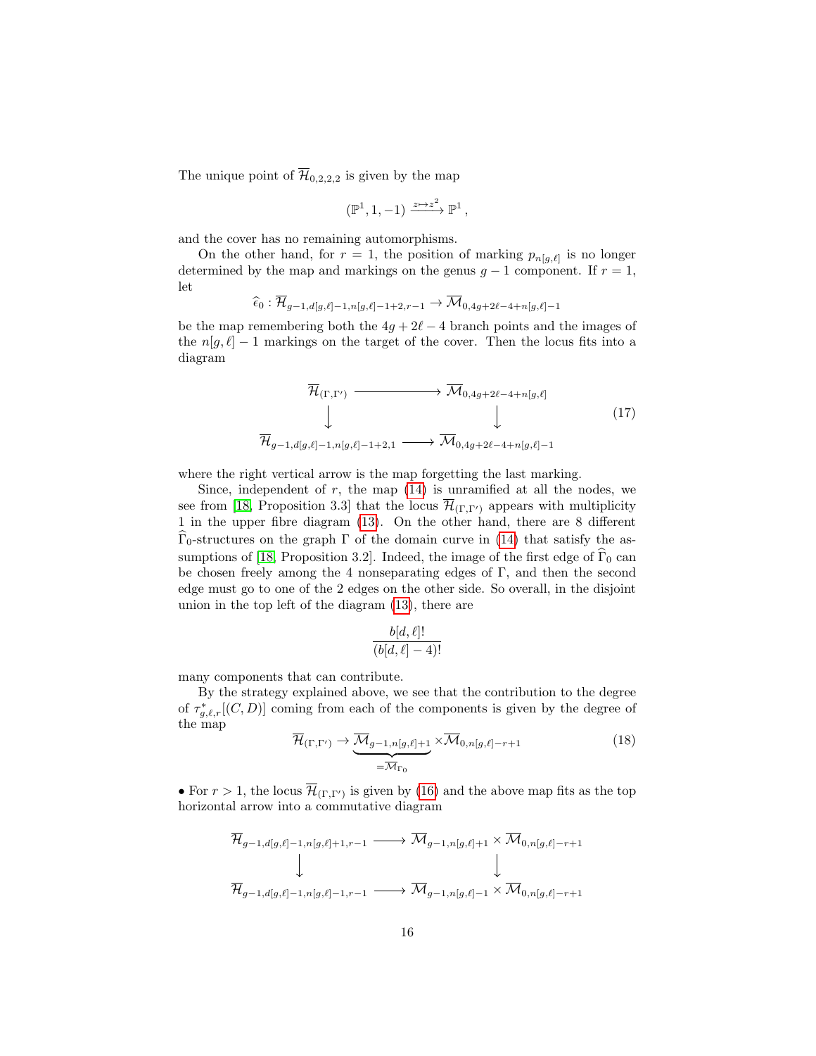The unique point of  $\overline{\mathcal{H}}_{0,2,2,2}$  is given by the map

$$
(\mathbb{P}^1,1,-1)\xrightarrow{z\mapsto z^2}\mathbb{P}^1\,,
$$

and the cover has no remaining automorphisms.

On the other hand, for  $r = 1$ , the position of marking  $p_{n[g,\ell]}$  is no longer determined by the map and markings on the genus  $g - 1$  component. If  $r = 1$ , let

$$
\widehat{\epsilon}_0 : \overline{\mathcal{H}}_{g-1,d[g,\ell]-1,n[g,\ell]-1+2,r-1} \to \overline{\mathcal{M}}_{0,4g+2\ell-4+n[g,\ell]-1}
$$

be the map remembering both the  $4g + 2\ell - 4$  branch points and the images of the  $n[q, \ell] - 1$  markings on the target of the cover. Then the locus fits into a diagram

<span id="page-15-1"></span>
$$
\overline{\mathcal{H}}_{(\Gamma,\Gamma')} \longrightarrow \overline{\mathcal{M}}_{0,4g+2\ell-4+n[g,\ell]}
$$
\n
$$
\downarrow \qquad \qquad \downarrow \qquad (17)
$$
\n
$$
\overline{\mathcal{H}}_{g-1,d[g,\ell]-1,n[g,\ell]-1+2,1} \longrightarrow \overline{\mathcal{M}}_{0,4g+2\ell-4+n[g,\ell]-1}
$$

where the right vertical arrow is the map forgetting the last marking.

Since, independent of  $r$ , the map  $(14)$  is unramified at all the nodes, we see from [\[18,](#page-33-13) Proposition 3.3] that the locus  $\overline{\mathcal{H}}_{(\Gamma,\Gamma')}$  appears with multiplicity 1 in the upper fibre diagram [\(13\)](#page-13-0). On the other hand, there are 8 different  $\Gamma_0$ -structures on the graph Γ of the domain curve in [\(14\)](#page-14-0) that satisfy the as-sumptions of [\[18,](#page-33-13) Proposition 3.2]. Indeed, the image of the first edge of  $\widehat{\Gamma}_0$  can be chosen freely among the 4 nonseparating edges of Γ, and then the second edge must go to one of the 2 edges on the other side. So overall, in the disjoint union in the top left of the diagram [\(13\)](#page-13-0), there are

$$
\frac{b[d,\ell]!}{(b[d,\ell]-4)!}
$$

many components that can contribute.

<span id="page-15-0"></span>By the strategy explained above, we see that the contribution to the degree of  $\tau_{g,\ell,r}^*[(C,D)]$  coming from each of the components is given by the degree of the map

$$
\overline{\mathcal{H}}_{(\Gamma,\Gamma')} \to \underbrace{\overline{\mathcal{M}}_{g-1,n[g,\ell]+1}}_{=\overline{\mathcal{M}}_{\Gamma_0}} \times \overline{\mathcal{M}}_{0,n[g,\ell]-r+1}
$$
\n(18)

• For  $r > 1$ , the locus  $\overline{\mathcal{H}}_{(\Gamma,\Gamma')}$  is given by [\(16\)](#page-14-2) and the above map fits as the top horizontal arrow into a commutative diagram

$$
\overline{\mathcal{H}}_{g-1,d[g,\ell]-1,n[g,\ell]+1,r-1} \longrightarrow \overline{\mathcal{M}}_{g-1,n[g,\ell]+1} \times \overline{\mathcal{M}}_{0,n[g,\ell]-r+1}
$$
\n
$$
\downarrow \qquad \downarrow
$$
\n
$$
\overline{\mathcal{H}}_{g-1,d[g,\ell]-1,n[g,\ell]-1,r-1} \longrightarrow \overline{\mathcal{M}}_{g-1,n[g,\ell]-1} \times \overline{\mathcal{M}}_{0,n[g,\ell]-r+1}
$$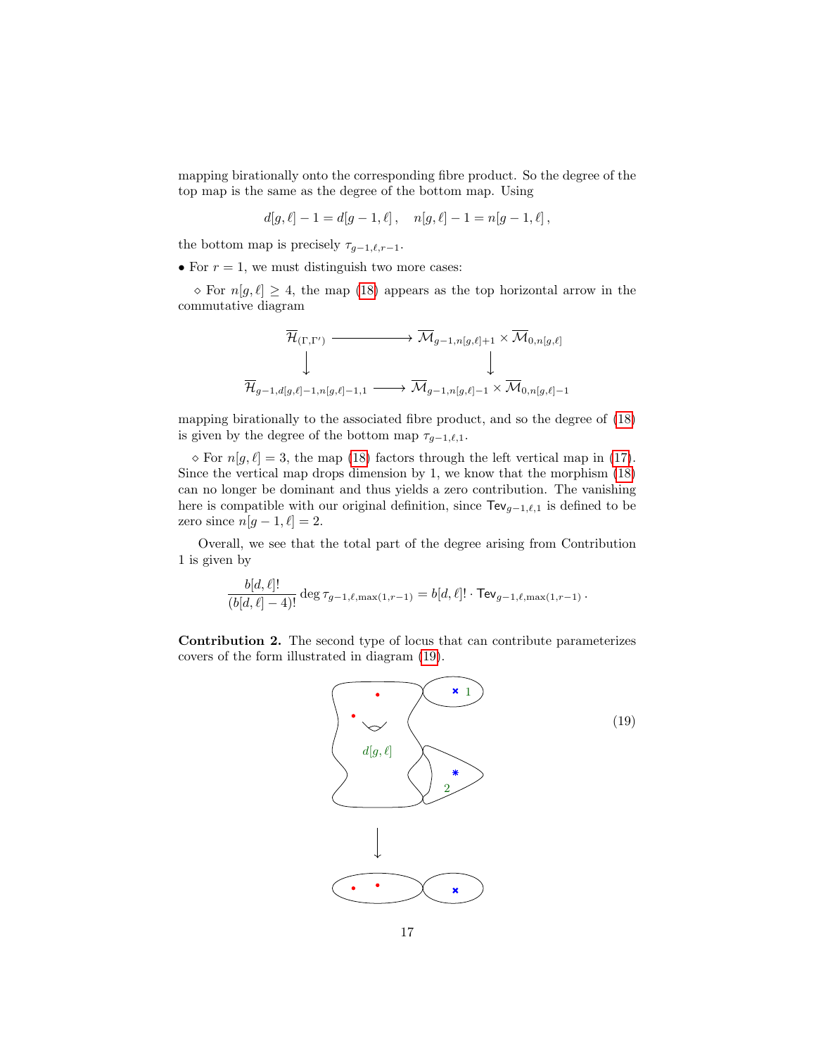mapping birationally onto the corresponding fibre product. So the degree of the top map is the same as the degree of the bottom map. Using

$$
d[g, \ell] - 1 = d[g - 1, \ell], \quad n[g, \ell] - 1 = n[g - 1, \ell],
$$

the bottom map is precisely  $\tau_{q-1,\ell,r-1}$ .

• For  $r = 1$ , we must distinguish two more cases:

 $\infty$  For  $n[g, \ell] \geq 4$ , the map [\(18\)](#page-15-0) appears as the top horizontal arrow in the commutative diagram

$$
\overline{\mathcal{H}}_{(\Gamma,\Gamma')} \xrightarrow{\overline{\mathcal{M}}_{g-1,n[g,\ell]+1} \times \overline{\mathcal{M}}_{0,n[g,\ell]}} \downarrow
$$
\n
$$
\overline{\mathcal{H}}_{g-1,d[g,\ell]-1,n[g,\ell]-1,1} \longrightarrow \overline{\mathcal{M}}_{g-1,n[g,\ell]-1} \times \overline{\mathcal{M}}_{0,n[g,\ell]-1}
$$

mapping birationally to the associated fibre product, and so the degree of [\(18\)](#page-15-0) is given by the degree of the bottom map  $\tau_{g-1,\ell,1}$ .

 $\infty$  For  $n[g, \ell] = 3$ , the map [\(18\)](#page-15-0) factors through the left vertical map in [\(17\)](#page-15-1). Since the vertical map drops dimension by 1, we know that the morphism [\(18\)](#page-15-0) can no longer be dominant and thus yields a zero contribution. The vanishing here is compatible with our original definition, since  $\text{TeV}_{g-1,\ell,1}$  is defined to be zero since  $n[g - 1, \ell] = 2$ .

Overall, we see that the total part of the degree arising from Contribution 1 is given by

$$
\frac{b[d,\ell]!}{(b[d,\ell]-4)!} \deg \tau_{g-1,\ell,\max(1,r-1)} = b[d,\ell]! \cdot \textsf{TeV}_{g-1,\ell,\max(1,r-1)}.
$$

Contribution 2. The second type of locus that can contribute parameterizes covers of the form illustrated in diagram [\(19\)](#page-16-0).

<span id="page-16-0"></span>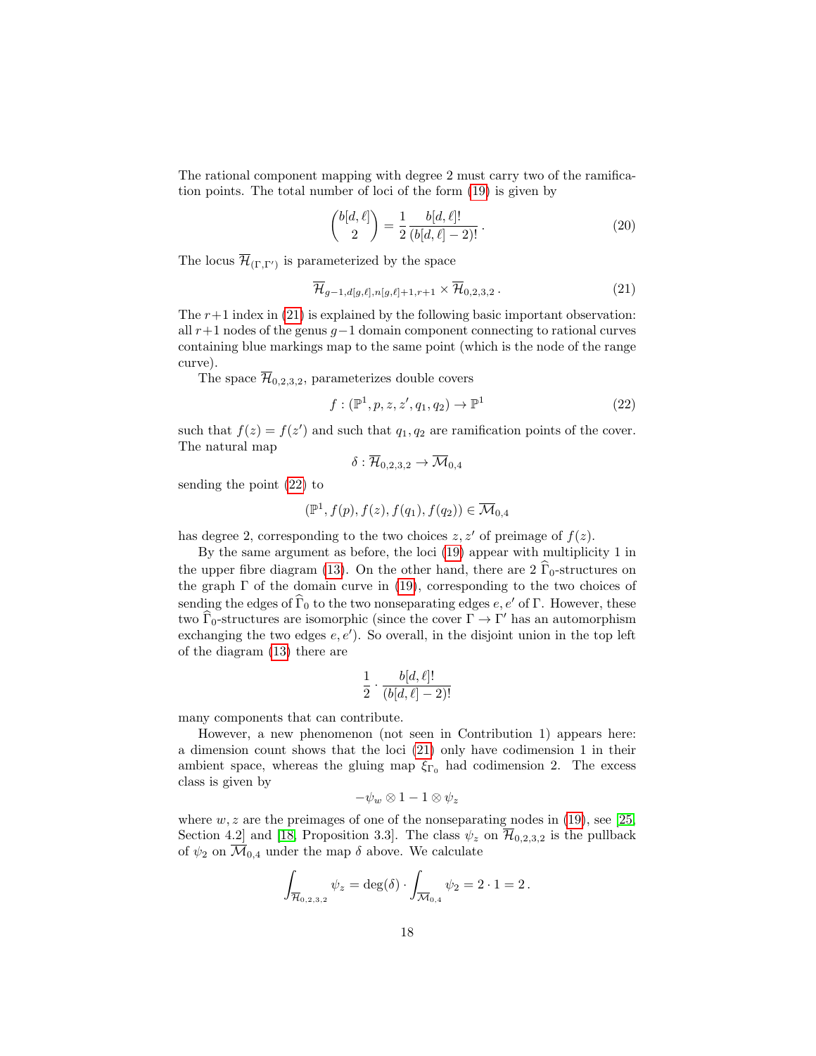The rational component mapping with degree 2 must carry two of the ramification points. The total number of loci of the form [\(19\)](#page-16-0) is given by

<span id="page-17-0"></span>
$$
\binom{b[d,\ell]}{2} = \frac{1}{2} \frac{b[d,\ell]!}{(b[d,\ell]-2)!}.
$$
\n(20)

The locus  $\overline{\mathcal{H}}_{(\Gamma,\Gamma')}$  is parameterized by the space

$$
\overline{\mathcal{H}}_{g-1,d[g,\ell],n[g,\ell]+1,r+1} \times \overline{\mathcal{H}}_{0,2,3,2}.
$$
\n(21)

The  $r+1$  index in [\(21\)](#page-17-0) is explained by the following basic important observation: all  $r+1$  nodes of the genus  $g-1$  domain component connecting to rational curves containing blue markings map to the same point (which is the node of the range curve).

The space  $\overline{\mathcal{H}}_{0,2,3,2}$ , parameterizes double covers

<span id="page-17-1"></span>
$$
f: (\mathbb{P}^1, p, z, z', q_1, q_2) \to \mathbb{P}^1
$$
\n(22)

such that  $f(z) = f(z')$  and such that  $q_1, q_2$  are ramification points of the cover. The natural map

$$
\delta: \overline{\mathcal{H}}_{0,2,3,2}\rightarrow \overline{\mathcal{M}}_{0,4}
$$

sending the point [\(22\)](#page-17-1) to

$$
(\mathbb{P}^1, f(p), f(z), f(q_1), f(q_2)) \in \overline{\mathcal{M}}_{0,4}
$$

has degree 2, corresponding to the two choices  $z, z'$  of preimage of  $f(z)$ .

By the same argument as before, the loci [\(19\)](#page-16-0) appear with multiplicity 1 in the upper fibre diagram [\(13\)](#page-13-0). On the other hand, there are  $2\hat{\Gamma}_0$ -structures on the graph  $\Gamma$  of the domain curve in [\(19\)](#page-16-0), corresponding to the two choices of sending the edges of  $\widehat{\Gamma}_0$  to the two nonseparating edges  $e, e'$  of Γ. However, these two  $\widehat{\Gamma}_0$ -structures are isomorphic (since the cover  $\Gamma \to \Gamma'$  has an automorphism exchanging the two edges  $e, e'$ ). So overall, in the disjoint union in the top left of the diagram [\(13\)](#page-13-0) there are

$$
\frac{1}{2} \cdot \frac{b[d,\ell]!}{(b[d,\ell]-2)!}
$$

many components that can contribute.

However, a new phenomenon (not seen in Contribution 1) appears here: a dimension count shows that the loci [\(21\)](#page-17-0) only have codimension 1 in their ambient space, whereas the gluing map  $\xi_{\Gamma_0}$  had codimension 2. The excess class is given by

$$
-\psi_w \otimes 1 - 1 \otimes \psi_z
$$

where  $w, z$  are the preimages of one of the nonseparating nodes in [\(19\)](#page-16-0), see [\[25,](#page-34-6) Section 4.2] and [\[18,](#page-33-13) Proposition 3.3]. The class  $\psi_z$  on  $\overline{\mathcal{H}}_{0,2,3,2}$  is the pullback of  $\psi_2$  on  $\overline{\mathcal{M}}_{0,4}$  under the map  $\delta$  above. We calculate

$$
\int_{\overline{\mathcal{H}}_{0,2,3,2}} \psi_z = \deg(\delta) \cdot \int_{\overline{\mathcal{M}}_{0,4}} \psi_2 = 2 \cdot 1 = 2.
$$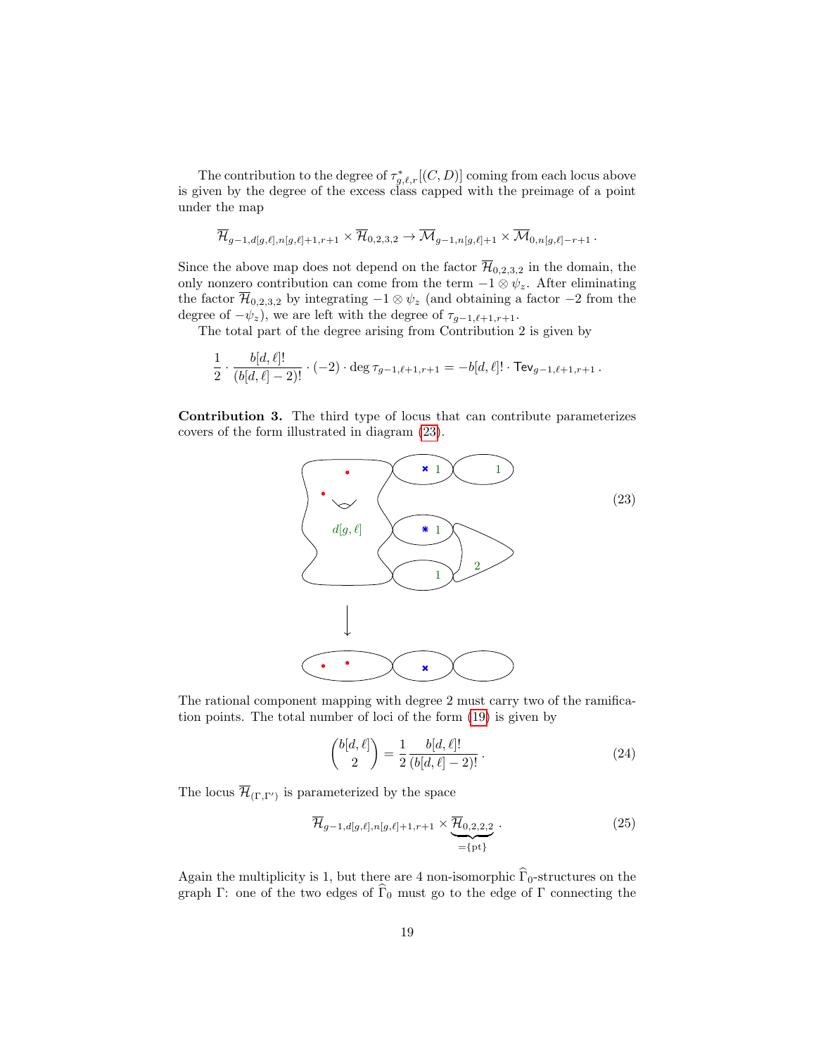The contribution to the degree of  $\tau_{g,\ell,r}^*$  [(C, D)] coming from each locus above is given by the degree of the excess class capped with the preimage of a point under the map

$$
\overline{\mathcal{H}}_{g-1,d[g,\ell],n[g,\ell]+1,r+1}\times\overline{\mathcal{H}}_{0,2,3,2}\to \overline{\mathcal{M}}_{g-1,n[g,\ell]+1}\times\overline{\mathcal{M}}_{0,n[g,\ell]-r+1}\,.
$$

Since the above map does not depend on the factor  $\overline{\mathcal{H}}_{0,2,3,2}$  in the domain, the only nonzero contribution can come from the term  $-1 \otimes \psi_z$ . After eliminating the factor  $\overline{\mathcal{H}}_{0,2,3,2}$  by integrating  $-1 \otimes \psi_z$  (and obtaining a factor  $-2$  from the degree of  $-\psi_z$ ), we are left with the degree of  $\tau_{g-1,\ell+1,r+1}$ .

The total part of the degree arising from Contribution 2 is given by

$$
\frac{1}{2} \cdot \frac{b[d,\ell]!}{(b[d,\ell]-2)!} \cdot (-2) \cdot \deg \tau_{g-1,\ell+1,r+1} = -b[d,\ell]! \cdot \text{TeV}_{g-1,\ell+1,r+1}.
$$

Contribution 3. The third type of locus that can contribute parameterizes covers of the form illustrated in diagram [\(23\)](#page-18-0).

<span id="page-18-0"></span>

The rational component mapping with degree 2 must carry two of the ramification points. The total number of loci of the form [\(19\)](#page-16-0) is given by

$$
\binom{b[d,\ell]}{2} = \frac{1}{2} \frac{b[d,\ell]!}{(b[d,\ell]-2)!}.
$$
\n(24)

The locus  $\mathcal{H}_{(\Gamma,\Gamma')}$  is parameterized by the space

$$
\overline{\mathcal{H}}_{g-1,d[g,\ell],n[g,\ell]+1,r+1} \times \underbrace{\overline{\mathcal{H}}_{0,2,2,2}}_{=\{\text{pt}\}}.
$$
\n(25)

Again the multiplicity is 1, but there are 4 non-isomorphic  $\Gamma_0$ -structures on the graph Γ: one of the two edges of  $\widehat{\Gamma}_0$  must go to the edge of Γ connecting the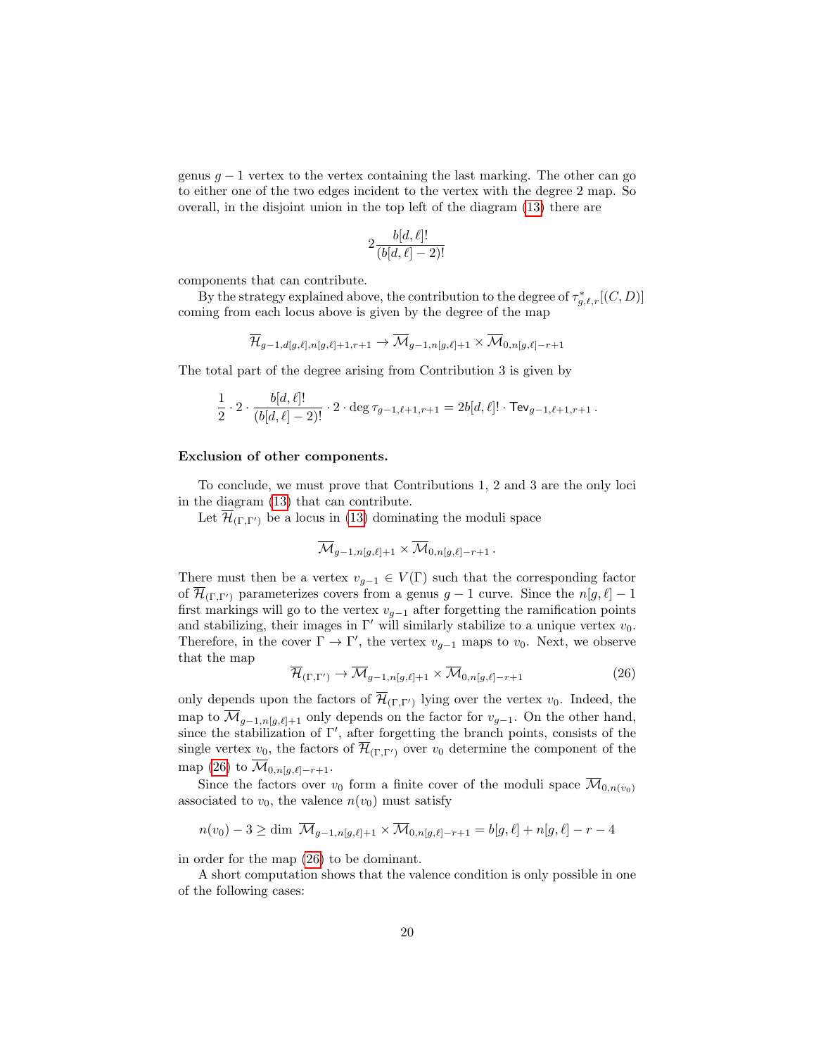genus  $g − 1$  vertex to the vertex containing the last marking. The other can go to either one of the two edges incident to the vertex with the degree 2 map. So overall, in the disjoint union in the top left of the diagram [\(13\)](#page-13-0) there are

$$
2\frac{b[d,\ell]!}{(b[d,\ell]-2)!}
$$

components that can contribute.

By the strategy explained above, the contribution to the degree of  $\tau_{g,\ell,r}^*[(C,D)]$ coming from each locus above is given by the degree of the map

$$
\overline{\mathcal{H}}_{g-1,d[g,\ell],n[g,\ell]+1,r+1}\rightarrow \overline{\mathcal{M}}_{g-1,n[g,\ell]+1}\times \overline{\mathcal{M}}_{0,n[g,\ell]-r+1}
$$

The total part of the degree arising from Contribution 3 is given by

$$
\frac{1}{2} \cdot 2 \cdot \frac{b[d,\ell]!}{(b[d,\ell]-2)!} \cdot 2 \cdot \deg \tau_{g-1,\ell+1,r+1} = 2b[d,\ell]! \cdot \text{TeV}_{g-1,\ell+1,r+1}.
$$

#### Exclusion of other components.

To conclude, we must prove that Contributions 1, 2 and 3 are the only loci in the diagram [\(13\)](#page-13-0) that can contribute.

Let  $\overline{\mathcal{H}}_{(\Gamma,\Gamma')}$  be a locus in [\(13\)](#page-13-0) dominating the moduli space

$$
\overline{\mathcal{M}}_{g-1,n[g,\ell]+1}\times \overline{\mathcal{M}}_{0,n[g,\ell]-r+1}\,.
$$

There must then be a vertex  $v_{g-1} \in V(\Gamma)$  such that the corresponding factor of  $\overline{\mathcal{H}}_{(\Gamma,\Gamma')}$  parameterizes covers from a genus  $g - 1$  curve. Since the  $n[g, \ell] - 1$ first markings will go to the vertex  $v_{q-1}$  after forgetting the ramification points and stabilizing, their images in  $\Gamma'$  will similarly stabilize to a unique vertex  $v_0$ . Therefore, in the cover  $\Gamma \to \Gamma'$ , the vertex  $v_{g-1}$  maps to  $v_0$ . Next, we observe that the map

<span id="page-19-0"></span>
$$
\overline{\mathcal{H}}_{(\Gamma,\Gamma')} \to \overline{\mathcal{M}}_{g-1,n[g,\ell]+1} \times \overline{\mathcal{M}}_{0,n[g,\ell]-r+1}
$$
\n(26)

only depends upon the factors of  $\overline{\mathcal{H}}_{(\Gamma,\Gamma')}$  lying over the vertex  $v_0$ . Indeed, the map to  $\overline{\mathcal{M}}_{g-1,n[g,\ell]+1}$  only depends on the factor for  $v_{g-1}$ . On the other hand, since the stabilization of  $\Gamma'$ , after forgetting the branch points, consists of the single vertex  $v_0$ , the factors of  $\overline{\mathcal{H}}_{(\Gamma,\Gamma')}$  over  $v_0$  determine the component of the map [\(26\)](#page-19-0) to  $\overline{\mathcal{M}}_{0,n[g,\ell]-r+1}$ .

Since the factors over  $v_0$  form a finite cover of the moduli space  $\overline{\mathcal{M}}_{0,n(v_0)}$ associated to  $v_0$ , the valence  $n(v_0)$  must satisfy

$$
n(v_0) - 3 \ge \dim \ \overline{\mathcal{M}}_{g-1,n[g,\ell]+1} \times \overline{\mathcal{M}}_{0,n[g,\ell]-r+1} = b[g,\ell]+n[g,\ell]-r-4
$$

in order for the map [\(26\)](#page-19-0) to be dominant.

A short computation shows that the valence condition is only possible in one of the following cases: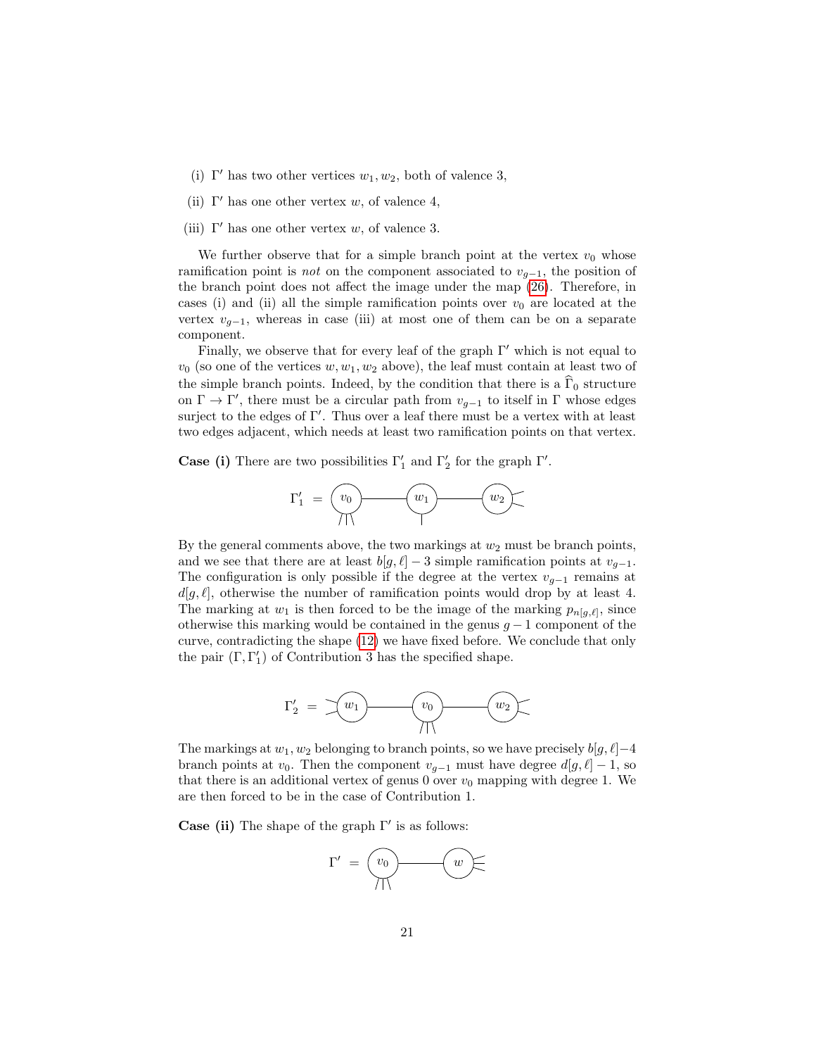- (i)  $\Gamma'$  has two other vertices  $w_1, w_2$ , both of valence 3,
- (ii)  $\Gamma'$  has one other vertex w, of valence 4,
- (iii)  $\Gamma'$  has one other vertex w, of valence 3.

We further observe that for a simple branch point at the vertex  $v_0$  whose ramification point is *not* on the component associated to  $v_{q-1}$ , the position of the branch point does not affect the image under the map [\(26\)](#page-19-0). Therefore, in cases (i) and (ii) all the simple ramification points over  $v_0$  are located at the vertex  $v_{g-1}$ , whereas in case (iii) at most one of them can be on a separate component.

Finally, we observe that for every leaf of the graph  $\Gamma'$  which is not equal to  $v_0$  (so one of the vertices  $w, w_1, w_2$  above), the leaf must contain at least two of the simple branch points. Indeed, by the condition that there is a  $\Gamma_0$  structure on  $\Gamma \to \Gamma'$ , there must be a circular path from  $v_{g-1}$  to itself in  $\Gamma$  whose edges surject to the edges of  $\Gamma'$ . Thus over a leaf there must be a vertex with at least two edges adjacent, which needs at least two ramification points on that vertex.

**Case (i)** There are two possibilities  $\Gamma'_1$  and  $\Gamma'_2$  for the graph  $\Gamma'$ .



By the general comments above, the two markings at  $w_2$  must be branch points, and we see that there are at least  $b[g, \ell] - 3$  simple ramification points at  $v_{q-1}$ . The configuration is only possible if the degree at the vertex  $v_{q-1}$  remains at  $d[g, \ell]$ , otherwise the number of ramification points would drop by at least 4. The marking at  $w_1$  is then forced to be the image of the marking  $p_{n[g,\ell]}$ , since otherwise this marking would be contained in the genus  $g - 1$  component of the curve, contradicting the shape [\(12\)](#page-12-3) we have fixed before. We conclude that only the pair  $(\Gamma, \Gamma'_1)$  of Contribution 3 has the specified shape.



The markings at  $w_1, w_2$  belonging to branch points, so we have precisely  $b[g, \ell]-4$ branch points at  $v_0$ . Then the component  $v_{g-1}$  must have degree  $d[g, \ell] - 1$ , so that there is an additional vertex of genus 0 over  $v_0$  mapping with degree 1. We are then forced to be in the case of Contribution 1.

Case (ii) The shape of the graph  $\Gamma'$  is as follows:

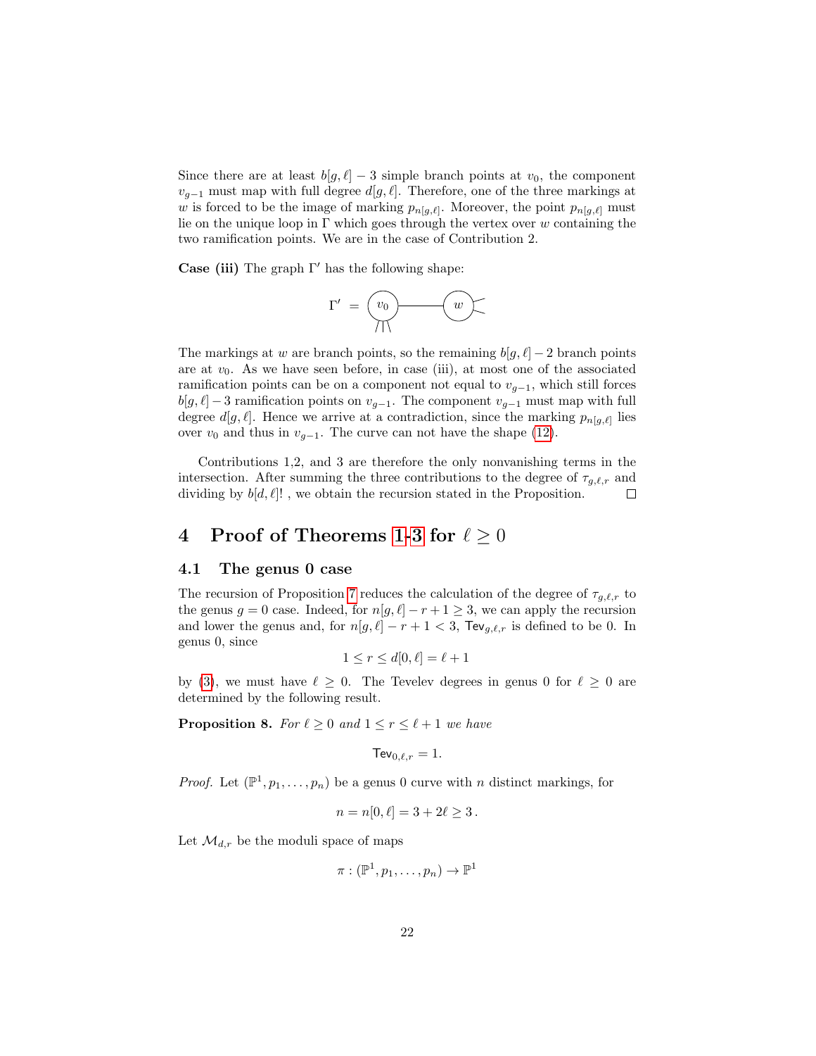Since there are at least  $b[g, \ell] - 3$  simple branch points at  $v_0$ , the component  $v_{q-1}$  must map with full degree  $d[g, \ell]$ . Therefore, one of the three markings at w is forced to be the image of marking  $p_{n[g,\ell]}$ . Moreover, the point  $p_{n[g,\ell]}$  must lie on the unique loop in  $\Gamma$  which goes through the vertex over w containing the two ramification points. We are in the case of Contribution 2.

**Case (iii)** The graph  $\Gamma'$  has the following shape:

$$
\Gamma' \;=\; \underbrace{\text{ } (v_0) \qquad \qquad (w)}_{\text{}}.
$$

The markings at w are branch points, so the remaining  $b[g, \ell] - 2$  branch points are at  $v_0$ . As we have seen before, in case (iii), at most one of the associated ramification points can be on a component not equal to  $v_{g-1}$ , which still forces  $b[g, \ell] - 3$  ramification points on  $v_{g-1}$ . The component  $v_{g-1}$  must map with full degree  $d[g, \ell]$ . Hence we arrive at a contradiction, since the marking  $p_{n[g,\ell]}$  lies over  $v_0$  and thus in  $v_{g-1}$ . The curve can not have the shape [\(12\)](#page-12-3).

Contributions 1,2, and 3 are therefore the only nonvanishing terms in the intersection. After summing the three contributions to the degree of  $\tau_{g,\ell,r}$  and dividing by  $b[d, \ell]!$ , we obtain the recursion stated in the Proposition.  $\Box$ 

# <span id="page-21-0"></span>4 Proof of Theorems [1-](#page-3-0)[3](#page-4-2) for  $\ell \geq 0$

#### <span id="page-21-1"></span>4.1 The genus 0 case

The recursion of Proposition [7](#page-12-1) reduces the calculation of the degree of  $\tau_{q,\ell,r}$  to the genus  $g = 0$  case. Indeed, for  $n[g, \ell] - r + 1 \geq 3$ , we can apply the recursion and lower the genus and, for  $n[g, \ell] - r + 1 < 3$ , Tev<sub>g, $\ell, r$ </sub> is defined to be 0. In genus 0, since

$$
1 \le r \le d[0, \ell] = \ell + 1
$$

by [\(3\)](#page-4-5), we must have  $\ell \geq 0$ . The Tevelev degrees in genus 0 for  $\ell \geq 0$  are determined by the following result.

<span id="page-21-2"></span>**Proposition 8.** For  $\ell \geq 0$  and  $1 \leq r \leq \ell + 1$  we have

$$
\mathsf{TeV}_{0,\ell,r}=1.
$$

*Proof.* Let  $(\mathbb{P}^1, p_1, \ldots, p_n)$  be a genus 0 curve with n distinct markings, for

$$
n = n[0, \ell] = 3 + 2\ell \ge 3.
$$

Let  $\mathcal{M}_{d,r}$  be the moduli space of maps

$$
\pi: (\mathbb{P}^1,p_1,\ldots,p_n) \to \mathbb{P}^1
$$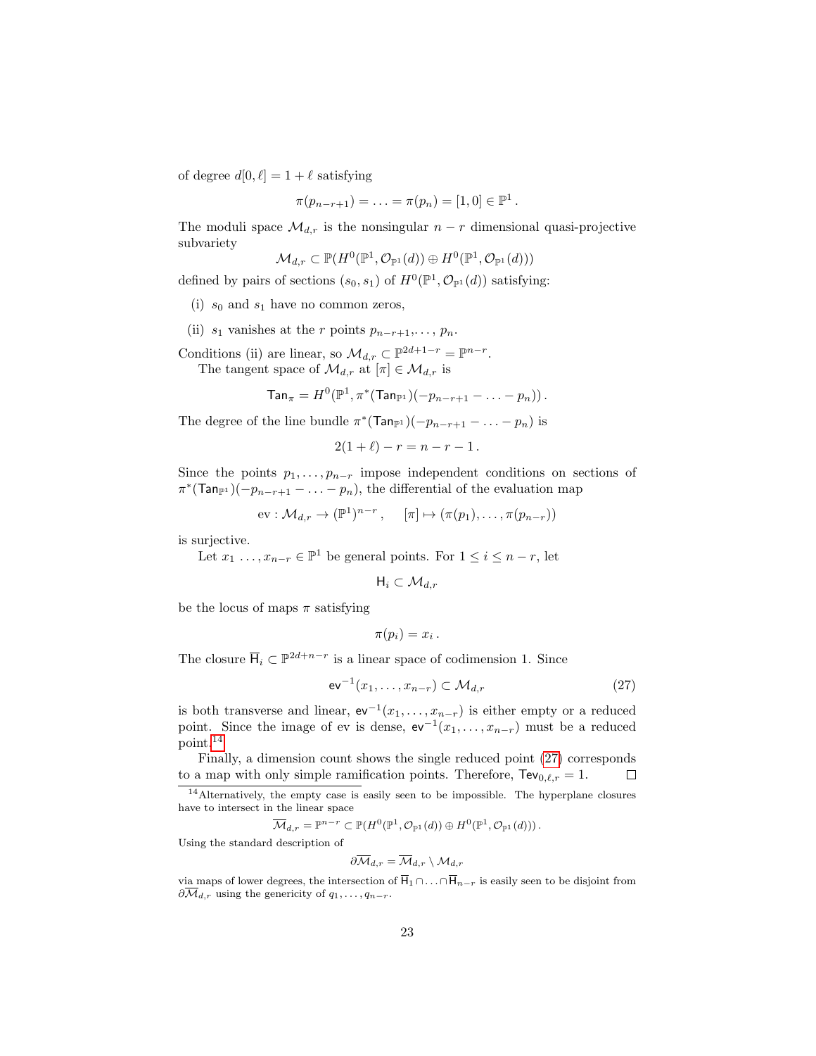of degree  $d[0, \ell] = 1 + \ell$  satisfying

$$
\pi(p_{n-r+1}) = \ldots = \pi(p_n) = [1,0] \in \mathbb{P}^1.
$$

The moduli space  $\mathcal{M}_{d,r}$  is the nonsingular  $n-r$  dimensional quasi-projective subvariety

$$
\mathcal{M}_{d,r} \subset \mathbb{P}(H^0(\mathbb{P}^1, \mathcal{O}_{\mathbb{P}^1}(d)) \oplus H^0(\mathbb{P}^1, \mathcal{O}_{\mathbb{P}^1}(d)))
$$

defined by pairs of sections  $(s_0, s_1)$  of  $H^0(\mathbb{P}^1, \mathcal{O}_{\mathbb{P}^1}(d))$  satisfying:

- (i)  $s_0$  and  $s_1$  have no common zeros,
- (ii)  $s_1$  vanishes at the r points  $p_{n-r+1}, \ldots, p_n$ .

Conditions (ii) are linear, so  $\mathcal{M}_{d,r} \subset \mathbb{P}^{2d+1-r} = \mathbb{P}^{n-r}$ .

The tangent space of  $\mathcal{M}_{d,r}$  at  $[\pi] \in \mathcal{M}_{d,r}$  is

 $\textsf{Tan}_{\pi} = H^0(\mathbb{P}^1, \pi^*(\textsf{Tan}_{\mathbb{P}^1})(-p_{n-r+1}-\ldots-p_n))$  .

The degree of the line bundle  $\pi^*(\text{Tan}_{\mathbb{P}^1})(-p_{n-r+1}-...-p_n)$  is

$$
2(1+\ell) - r = n - r - 1.
$$

Since the points  $p_1, \ldots, p_{n-r}$  impose independent conditions on sections of  $\pi^*(\textsf{Tan}_{\mathbb{P}^1})(-p_{n-r+1}-\ldots-p_n)$ , the differential of the evaluation map

$$
\text{ev}: \mathcal{M}_{d,r} \to (\mathbb{P}^1)^{n-r}, \quad [\pi] \mapsto (\pi(p_1), \dots, \pi(p_{n-r}))
$$

is surjective.

Let  $x_1 \ldots, x_{n-r} \in \mathbb{P}^1$  be general points. For  $1 \leq i \leq n-r$ , let

$$
\mathsf{H}_i\subset \mathcal{M}_{d,r}
$$

be the locus of maps  $\pi$  satisfying

<span id="page-22-1"></span>
$$
\pi(p_i)=x_i.
$$

The closure  $\overline{H}_i \subset \mathbb{P}^{2d+n-r}$  is a linear space of codimension 1. Since

$$
\mathrm{ev}^{-1}(x_1,\ldots,x_{n-r}) \subset \mathcal{M}_{d,r} \tag{27}
$$

is both transverse and linear,  $ev^{-1}(x_1,\ldots,x_{n-r})$  is either empty or a reduced point. Since the image of ev is dense,  $ev^{-1}(x_1,\ldots,x_{n-r})$  must be a reduced point.[14](#page-22-0)

Finally, a dimension count shows the single reduced point [\(27\)](#page-22-1) corresponds to a map with only simple ramification points. Therefore,  $\text{TeV}_{0,\ell,r} = 1$ .  $\Box$ 

$$
\overline{\mathcal{M}}_{d,r} = \mathbb{P}^{n-r} \subset \mathbb{P}(H^0(\mathbb{P}^1, \mathcal{O}_{\mathbb{P}^1}(d)) \oplus H^0(\mathbb{P}^1, \mathcal{O}_{\mathbb{P}^1}(d))).
$$

Using the standard description of

$$
\partial \overline{\mathcal{M}}_{d,r} = \overline{\mathcal{M}}_{d,r} \setminus \mathcal{M}_{d,r}
$$

via maps of lower degrees, the intersection of  $\overline{H}_1 \cap \ldots \cap \overline{H}_{n-r}$  is easily seen to be disjoint from  $\partial \overline{\mathcal{M}}_{d,r}$  using the genericity of  $q_1, \ldots, q_{n-r}$ .

<span id="page-22-0"></span> $14$ Alternatively, the empty case is easily seen to be impossible. The hyperplane closures have to intersect in the linear space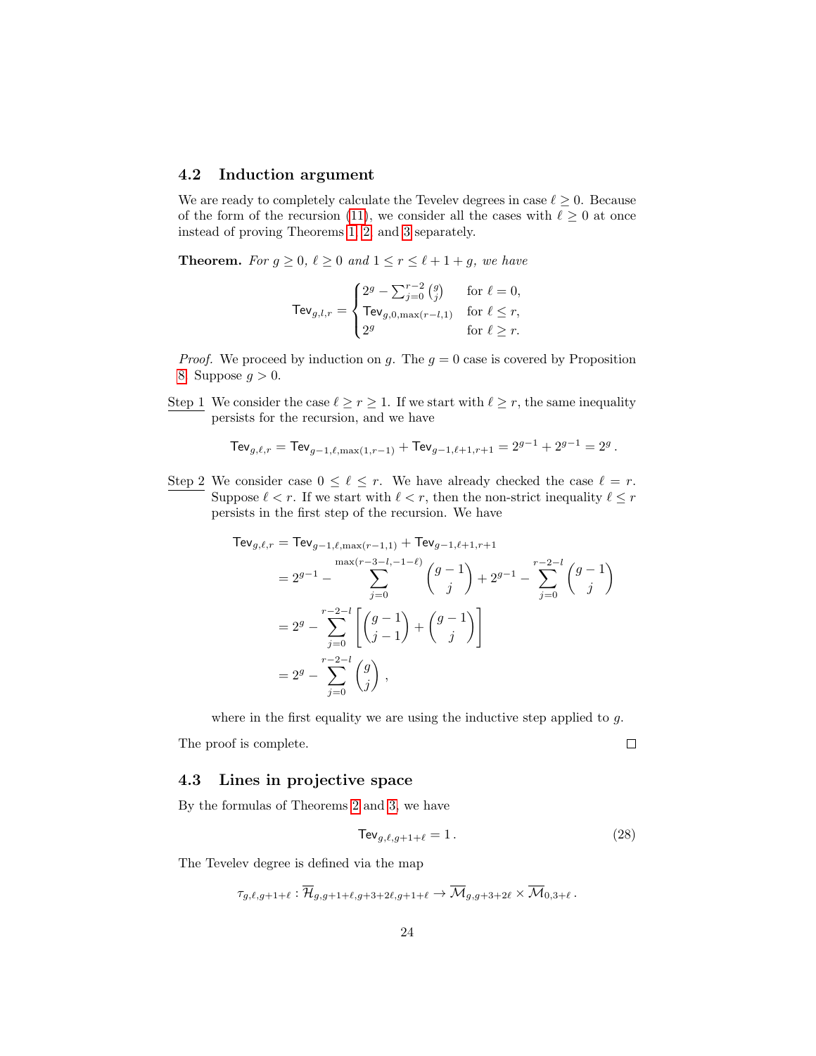### <span id="page-23-0"></span>4.2 Induction argument

We are ready to completely calculate the Tevelev degrees in case  $\ell \geq 0$ . Because of the form of the recursion [\(11\)](#page-12-2), we consider all the cases with  $\ell \geq 0$  at once instead of proving Theorems [1,](#page-3-0) [2,](#page-4-3) and [3](#page-4-2) separately.

**Theorem.** For  $g \ge 0$ ,  $\ell \ge 0$  and  $1 \le r \le \ell + 1 + g$ , we have

$$
\mathsf{TeV}_{g,l,r} = \begin{cases} 2^g - \sum_{j=0}^{r-2} {g \choose j} & \text{for } \ell = 0, \\ \mathsf{TeV}_{g,0,\max(r-l,1)} & \text{for } \ell \le r, \\ 2^g & \text{for } \ell \ge r. \end{cases}
$$

*Proof.* We proceed by induction on g. The  $g = 0$  case is covered by Proposition [8.](#page-21-2) Suppose  $g > 0$ .

Step 1 We consider the case  $\ell \ge r \ge 1$ . If we start with  $\ell \ge r$ , the same inequality persists for the recursion, and we have

$$
\text{TeV}_{g,\ell,r} = \text{TeV}_{g-1,\ell,\max(1,r-1)} + \text{TeV}_{g-1,\ell+1,r+1} = 2^{g-1} + 2^{g-1} = 2^g.
$$

Step 2 We consider case  $0 \leq \ell \leq r$ . We have already checked the case  $\ell = r$ . Suppose  $\ell < r$ . If we start with  $\ell < r$ , then the non-strict inequality  $\ell \leq r$ persists in the first step of the recursion. We have

$$
\begin{split} \mathsf{TeV}_{g,\ell,r} &= \mathsf{TeV}_{g-1,\ell,\max(r-1,1)} + \mathsf{TeV}_{g-1,\ell+1,r+1} \\ &= 2^{g-1} - \sum_{j=0}^{\max(r-3-l,-1-\ell)} \binom{g-1}{j} + 2^{g-1} - \sum_{j=0}^{r-2-l} \binom{g-1}{j} \\ &= 2^g - \sum_{j=0}^{r-2-l} \left[ \binom{g-1}{j-1} + \binom{g-1}{j} \right] \\ &= 2^g - \sum_{j=0}^{r-2-l} \binom{g}{j} \,, \end{split}
$$

where in the first equality we are using the inductive step applied to  $g$ .

The proof is complete.

 $\Box$ 

#### <span id="page-23-1"></span>4.3 Lines in projective space

By the formulas of Theorems [2](#page-4-3) and [3,](#page-4-2) we have

$$
\text{TeV}_{g,\ell,g+1+\ell} = 1. \tag{28}
$$

The Tevelev degree is defined via the map

$$
\tau_{g,\ell,g+1+\ell} : \overline{\mathcal{H}}_{g,g+1+\ell,g+3+2\ell,g+1+\ell} \to \overline{\mathcal{M}}_{g,g+3+2\ell} \times \overline{\mathcal{M}}_{0,3+\ell}.
$$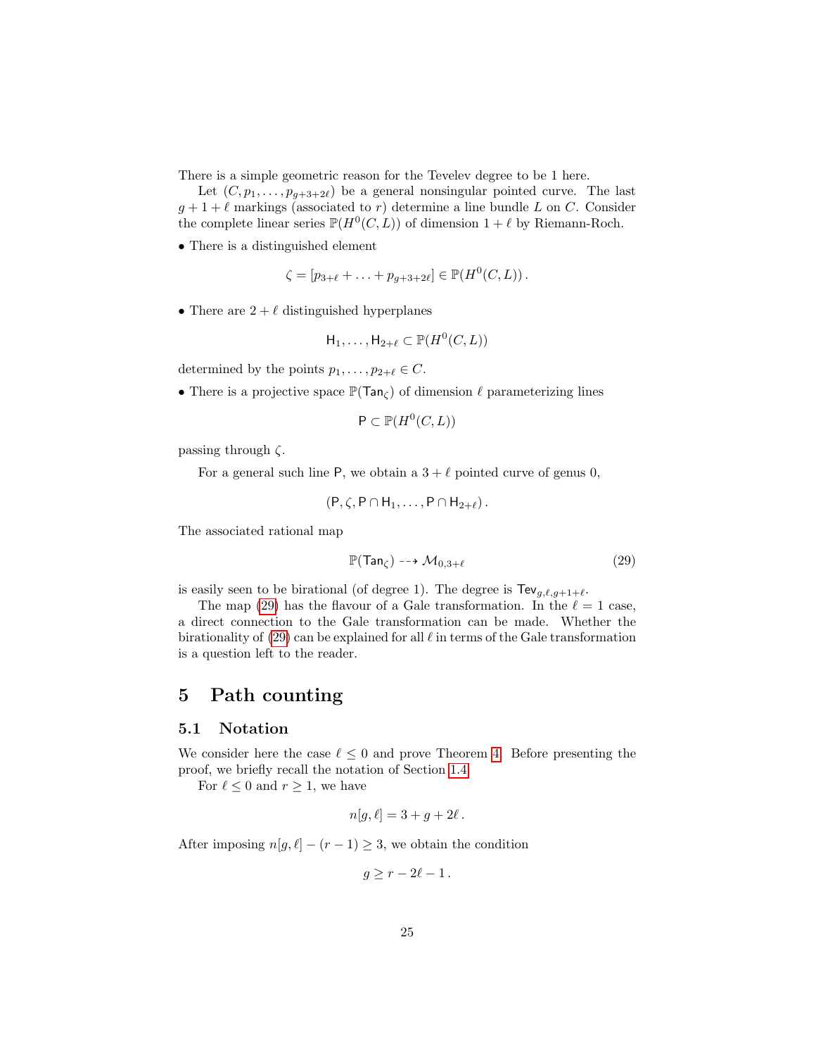There is a simple geometric reason for the Tevelev degree to be 1 here.

Let  $(C, p_1, \ldots, p_{g+3+2\ell})$  be a general nonsingular pointed curve. The last  $g + 1 + \ell$  markings (associated to r) determine a line bundle L on C. Consider the complete linear series  $\mathbb{P}(H^0(C, L))$  of dimension  $1 + \ell$  by Riemann-Roch.

• There is a distinguished element

$$
\zeta = [p_{3+\ell} + \ldots + p_{g+3+2\ell}] \in \mathbb{P}(H^0(C, L)).
$$

• There are  $2 + \ell$  distinguished hyperplanes

$$
\mathsf{H}_1,\ldots,\mathsf{H}_{2+\ell}\subset\mathbb{P}(H^0(C,L))
$$

determined by the points  $p_1, \ldots, p_{2+\ell} \in C$ .

• There is a projective space  $\mathbb{P}(Tan_{\zeta})$  of dimension  $\ell$  parameterizing lines

$$
\mathsf{P} \subset \mathbb{P}(H^0(C, L))
$$

passing through  $\zeta$ .

For a general such line P, we obtain a  $3 + \ell$  pointed curve of genus 0,

<span id="page-24-2"></span>
$$
(\mathsf{P}, \zeta, \mathsf{P} \cap \mathsf{H}_1, \ldots, \mathsf{P} \cap \mathsf{H}_{2+\ell}).
$$

The associated rational map

$$
\mathbb{P}(\text{Tan}_{\zeta}) \dashrightarrow \mathcal{M}_{0,3+\ell} \tag{29}
$$

is easily seen to be birational (of degree 1). The degree is  $\text{TeV}_{g,\ell,g+1+\ell}$ .

The map [\(29\)](#page-24-2) has the flavour of a Gale transformation. In the  $\ell = 1$  case, a direct connection to the Gale transformation can be made. Whether the birationality of  $(29)$  can be explained for all  $\ell$  in terms of the Gale transformation is a question left to the reader.

# <span id="page-24-0"></span>5 Path counting

#### <span id="page-24-1"></span>5.1 Notation

We consider here the case  $\ell \leq 0$  and prove Theorem [4.](#page-6-0) Before presenting the proof, we briefly recall the notation of Section [1.4.](#page-4-1)

For  $\ell \leq 0$  and  $r \geq 1$ , we have

$$
n[g, \ell] = 3 + g + 2\ell.
$$

After imposing  $n[g, \ell] - (r - 1) \geq 3$ , we obtain the condition

$$
g\geq r-2\ell-1.
$$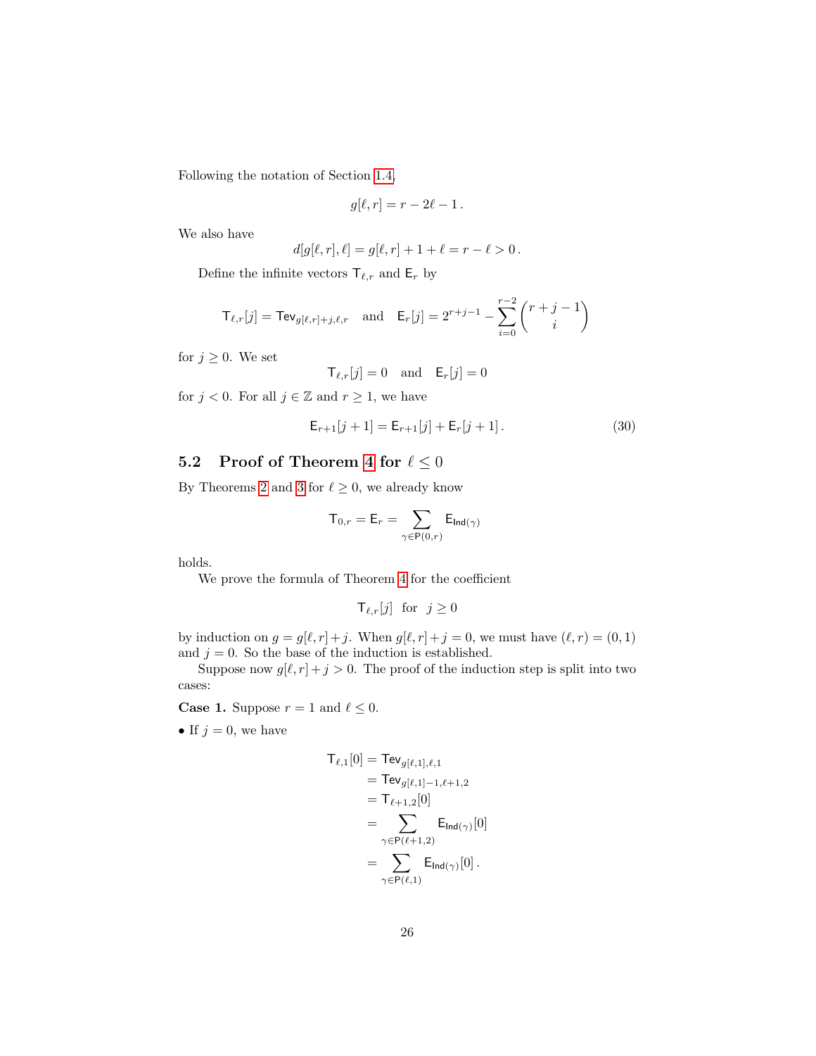Following the notation of Section [1.4,](#page-4-1)

$$
g[\ell,r] = r - 2\ell - 1.
$$

We also have

$$
d[g[\ell, r], \ell] = g[\ell, r] + 1 + \ell = r - \ell > 0.
$$

Define the infinite vectors  $\mathsf{T}_{\ell,r}$  and  $\mathsf{E}_r$  by

$$
\mathsf{T}_{\ell,r}[j] = \mathsf{TeV}_{g[\ell,r]+j,\ell,r} \quad \text{and} \quad \mathsf{E}_r[j] = 2^{r+j-1} - \sum_{i=0}^{r-2} \binom{r+j-1}{i}
$$

for  $j \geq 0$ . We set

<span id="page-25-1"></span>
$$
\mathsf{T}_{\ell,r}[j] = 0 \quad \text{and} \quad \mathsf{E}_r[j] = 0
$$

for  $j < 0$ . For all  $j \in \mathbb{Z}$  and  $r \geq 1$ , we have

$$
\mathsf{E}_{r+1}[j+1] = \mathsf{E}_{r+1}[j] + \mathsf{E}_r[j+1].\tag{30}
$$

# <span id="page-25-0"></span>5.2 Proof of Theorem [4](#page-6-0) for  $\ell \leq 0$

By Theorems [2](#page-4-3) and [3](#page-4-2) for  $\ell \geq 0$ , we already know

$$
\mathsf{T}_{0,r}=\mathsf{E}_r=\sum_{\gamma\in\mathsf{P}(0,r)}\mathsf{E}_{\mathsf{Ind}(\gamma)}
$$

holds.

We prove the formula of Theorem [4](#page-6-0) for the coefficient

$$
\mathsf{T}_{\ell,r}[j] \ \ \text{for} \ \ j \ge 0
$$

by induction on  $g = g[\ell, r]+j$ . When  $g[\ell, r]+j = 0$ , we must have  $(\ell, r) = (0, 1)$ and  $j = 0$ . So the base of the induction is established.

Suppose now  $g[\ell, r] + j > 0$ . The proof of the induction step is split into two cases:

**Case 1.** Suppose  $r = 1$  and  $\ell \leq 0$ .

• If  $j = 0$ , we have

$$
T_{\ell,1}[0] = \text{TeV}_{g[\ell,1],\ell,1}
$$
  
= 
$$
\text{TeV}_{g[\ell,1]-1,\ell+1,2}
$$
  
= 
$$
T_{\ell+1,2}[0]
$$
  
= 
$$
\sum_{\gamma \in \text{P}(\ell+1,2)} \text{E}_{\text{Ind}(\gamma)}[0]
$$
  
= 
$$
\sum_{\gamma \in \text{P}(\ell,1)} \text{E}_{\text{Ind}(\gamma)}[0].
$$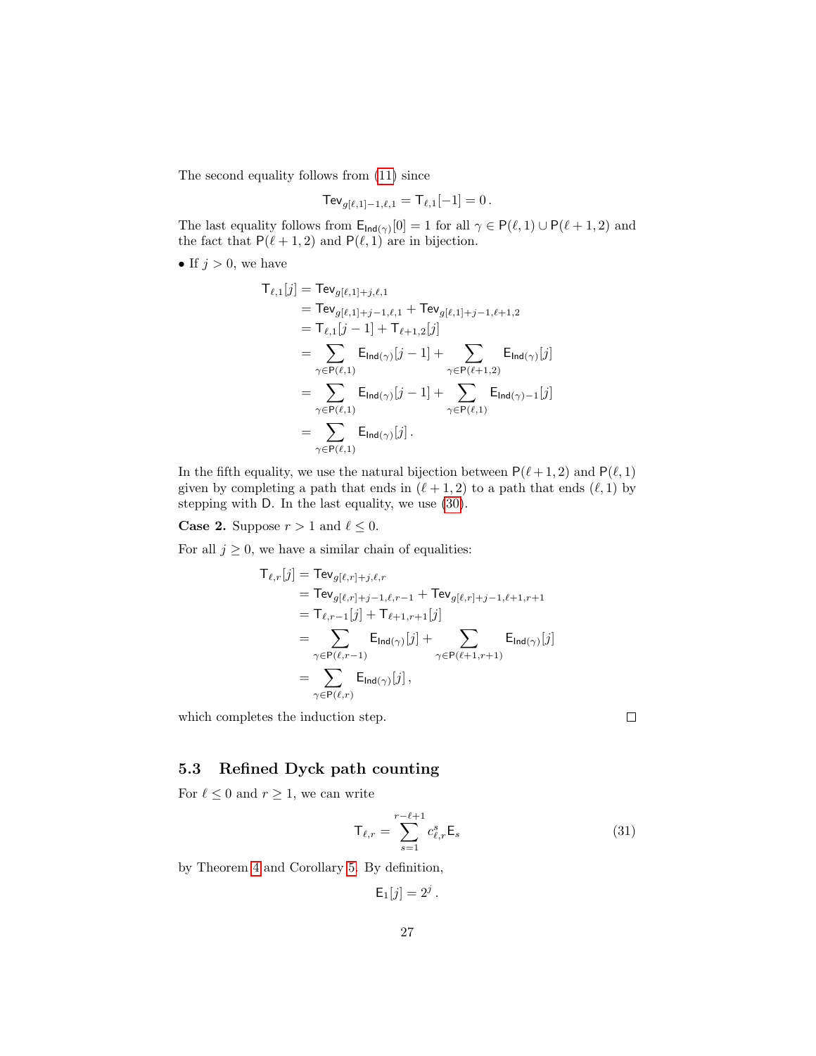The second equality follows from [\(11\)](#page-12-2) since

$$
\text{TeV}_{g[\ell,1]-1,\ell,1} = \text{T}_{\ell,1}[-1] = 0.
$$

The last equality follows from  $\mathsf{E}_{\mathsf{Ind}(\gamma)}[0] = 1$  for all  $\gamma \in \mathsf{P}(\ell, 1) \cup \mathsf{P}(\ell + 1, 2)$  and the fact that  $P(\ell + 1, 2)$  and  $P(\ell, 1)$  are in bijection.

• If  $j > 0$ , we have

$$
T_{\ell,1}[j] = \text{TeV}_{g[\ell,1]+j,\ell,1}
$$
  
\n
$$
= \text{TeV}_{g[\ell,1]+j-1,\ell,1} + \text{TeV}_{g[\ell,1]+j-1,\ell+1,2}
$$
  
\n
$$
= T_{\ell,1}[j-1] + T_{\ell+1,2}[j]
$$
  
\n
$$
= \sum_{\gamma \in \text{P}(\ell,1)} \text{E}_{\text{Ind}(\gamma)}[j-1] + \sum_{\gamma \in \text{P}(\ell+1,2)} \text{E}_{\text{Ind}(\gamma)}[j]
$$
  
\n
$$
= \sum_{\gamma \in \text{P}(\ell,1)} \text{E}_{\text{Ind}(\gamma)}[j-1] + \sum_{\gamma \in \text{P}(\ell,1)} \text{E}_{\text{Ind}(\gamma)-1}[j]
$$
  
\n
$$
= \sum_{\gamma \in \text{P}(\ell,1)} \text{E}_{\text{Ind}(\gamma)}[j].
$$

In the fifth equality, we use the natural bijection between  $P(\ell + 1, 2)$  and  $P(\ell, 1)$ given by completing a path that ends in  $(\ell + 1, 2)$  to a path that ends  $(\ell, 1)$  by stepping with D. In the last equality, we use [\(30\)](#page-25-1).

**Case 2.** Suppose  $r > 1$  and  $\ell \leq 0$ .

For all  $j \geq 0$ , we have a similar chain of equalities:

$$
T_{\ell,r}[j] = \text{TeV}_{g[\ell,r]+j,\ell,r} \n= \text{TeV}_{g[\ell,r]+j-1,\ell,r-1} + \text{TeV}_{g[\ell,r]+j-1,\ell+1,r+1} \n= T_{\ell,r-1}[j] + T_{\ell+1,r+1}[j] \n= \sum_{\gamma \in \text{P}(\ell,r-1)} \text{E}_{\text{Ind}(\gamma)}[j] + \sum_{\gamma \in \text{P}(\ell+1,r+1)} \text{E}_{\text{Ind}(\gamma)}[j] \n= \sum_{\gamma \in \text{P}(\ell,r)} \text{E}_{\text{Ind}(\gamma)}[j],
$$

which completes the induction step.

#### $\Box$

### <span id="page-26-0"></span>5.3 Refined Dyck path counting

For  $\ell \leq 0$  and  $r \geq 1$ , we can write

<span id="page-26-1"></span>
$$
\mathsf{T}_{\ell,r} = \sum_{s=1}^{r-\ell+1} c_{\ell,r}^s \mathsf{E}_s \tag{31}
$$

by Theorem [4](#page-6-0) and Corollary [5.](#page-7-5) By definition,

$$
\mathsf{E}_1[j] = 2^j.
$$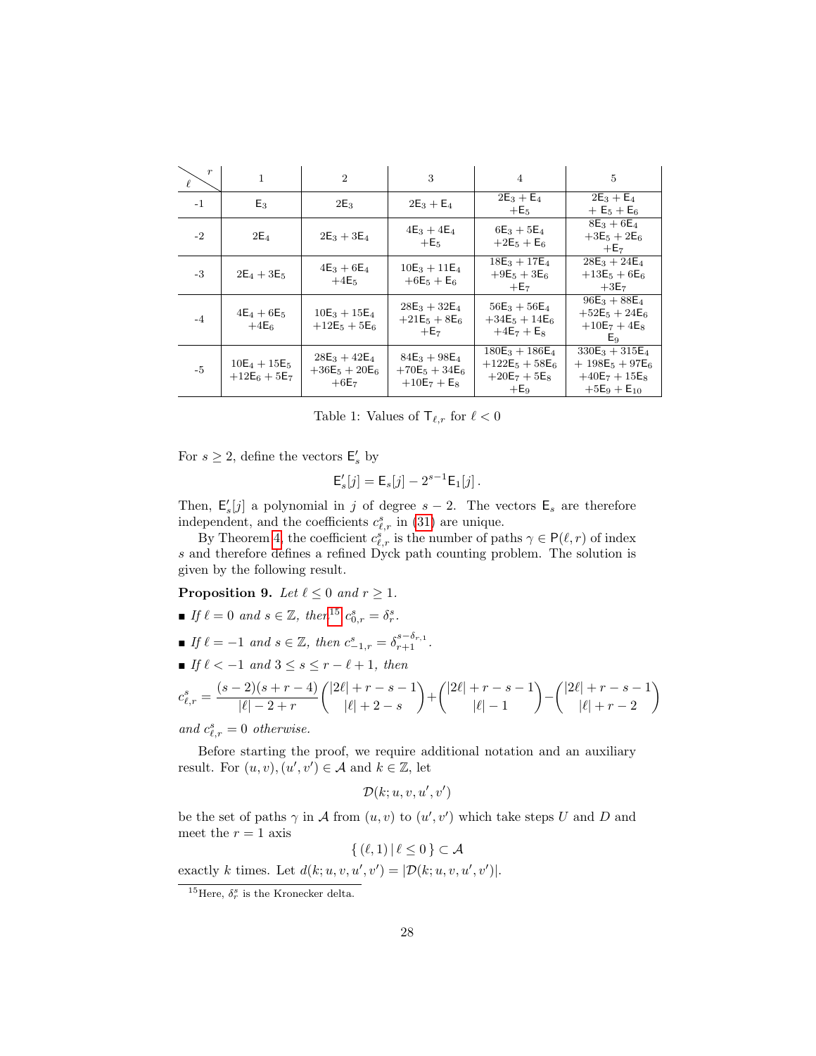| $\boldsymbol{r}$ | $\mathbf{1}$                     | $\overline{2}$                                | 3                                                     | $\overline{4}$                                                    | $\overline{5}$                                                               |
|------------------|----------------------------------|-----------------------------------------------|-------------------------------------------------------|-------------------------------------------------------------------|------------------------------------------------------------------------------|
| $-1$             | $E_3$                            | $2E_3$                                        | $2E_3 + E_4$                                          | $2E_3 + E_4$<br>$+E5$                                             | $2E_3 + E_4$<br>$+ E_5 + E_6$                                                |
| $-2$             | $2E_4$                           | $2E_3 + 3E_4$                                 | $4E_3 + 4E_4$<br>$+E5$                                | $6E_3 + 5E_4$<br>$+2E_5 + E_6$                                    | $8E_3 + 6E_4$<br>$+3E_5 + 2E_6$<br>$+E7$                                     |
| $-3$             | $2E_4 + 3E_5$                    | $4E_3 + 6E_4$<br>$+4E5$                       | $10E_3 + 11E_4$<br>$+6E_5 + E_6$                      | $18E_3 + 17E_4$<br>$+9E_5 + 3E_6$<br>$+E7$                        | $28E_3 + 24E_4$<br>$+13E_5+6E_6$<br>$+3E7$                                   |
| $-4$             | $4E_4 + 6E_5$<br>$+4E_6$         | $10E_3 + 15E_4$<br>$+12E_5+5E_6$              | $28E_3 + 32E_4$<br>$+21E_5 + 8E_6$<br>$+E7$           | $56E_3 + 56E_4$<br>$+34E_5 + 14E_6$<br>$+4E_7 + E_8$              | $96E_3 + 88E_4$<br>$+52E_5 + 24E_6$<br>$+10E_7 + 4E_8$<br>Eq                 |
| $-5$             | $10E_4 + 15E_5$<br>$+12E_6+5E_7$ | $28E_3 + 42E_4$<br>$+36E_5 + 20E_6$<br>$+6E7$ | $84E_3 + 98E_4$<br>$+70E_5 + 34E_6$<br>$+10E_7 + E_8$ | $180E_3 + 186E_4$<br>$+122E_5 + 58E_6$<br>$+20E_7+5E_8$<br>$+E_9$ | $330E_3 + 315E_4$<br>$+198E_5+97E_6$<br>$+40E_7 + 15E_8$<br>$+5E_9 + E_{10}$ |

Table 1: Values of  $\mathsf{T}_{\ell,r}$  for  $\ell < 0$ 

For  $s \geq 2$ , define the vectors  $\mathsf{E}'_s$  by

$$
\mathsf{E}'_s[j] = \mathsf{E}_s[j] - 2^{s-1} \mathsf{E}_1[j].
$$

Then,  $\mathsf{E}'_s[j]$  a polynomial in j of degree  $s-2$ . The vectors  $\mathsf{E}_s$  are therefore independent, and the coefficients  $c_{\ell,r}^s$  in [\(31\)](#page-26-1) are unique.

By Theorem [4,](#page-6-0) the coefficient  $c_{\ell,r}^s$  is the number of paths  $\gamma \in \mathsf{P}(\ell, r)$  of index s and therefore defines a refined Dyck path counting problem. The solution is given by the following result.

<span id="page-27-1"></span>**Proposition 9.** Let  $\ell \leq 0$  and  $r \geq 1$ .

- If  $\ell = 0$  and  $s \in \mathbb{Z}$ , then<sup>[15](#page-27-0)</sup>  $c_{0,r}^s = \delta_r^s$ .
- **■** If  $\ell = -1$  and  $s \in \mathbb{Z}$ , then  $c_{-1,r}^s = \delta_{r+1}^{s-\delta_{r,1}}$ .
- If  $\ell < -1$  and  $3 \leq s \leq r \ell + 1$ , then

$$
c_{\ell,r}^s = \frac{(s-2)(s+r-4)}{|\ell|-2+r} \binom{|2\ell|+r-s-1}{|\ell|+2-s} + \binom{|2\ell|+r-s-1}{|\ell|-1} - \binom{|2\ell|+r-s-1}{|\ell|+r-2}
$$

and  $c_{\ell,r}^s = 0$  otherwise.

Before starting the proof, we require additional notation and an auxiliary result. For  $(u, v), (u', v') \in \mathcal{A}$  and  $k \in \mathbb{Z}$ , let

 $\mathcal{D}(k; u, v, u', v')$ 

be the set of paths  $\gamma$  in A from  $(u, v)$  to  $(u', v')$  which take steps U and D and meet the  $r = 1$  axis

 $\{(\ell, 1)| \ell \leq 0\} \subset \mathcal{A}$ 

exactly k times. Let  $d(k; u, v, u', v') = |\mathcal{D}(k; u, v, u', v')|$ .

<span id="page-27-0"></span><sup>&</sup>lt;sup>15</sup>Here,  $\delta_r^s$  is the Kronecker delta.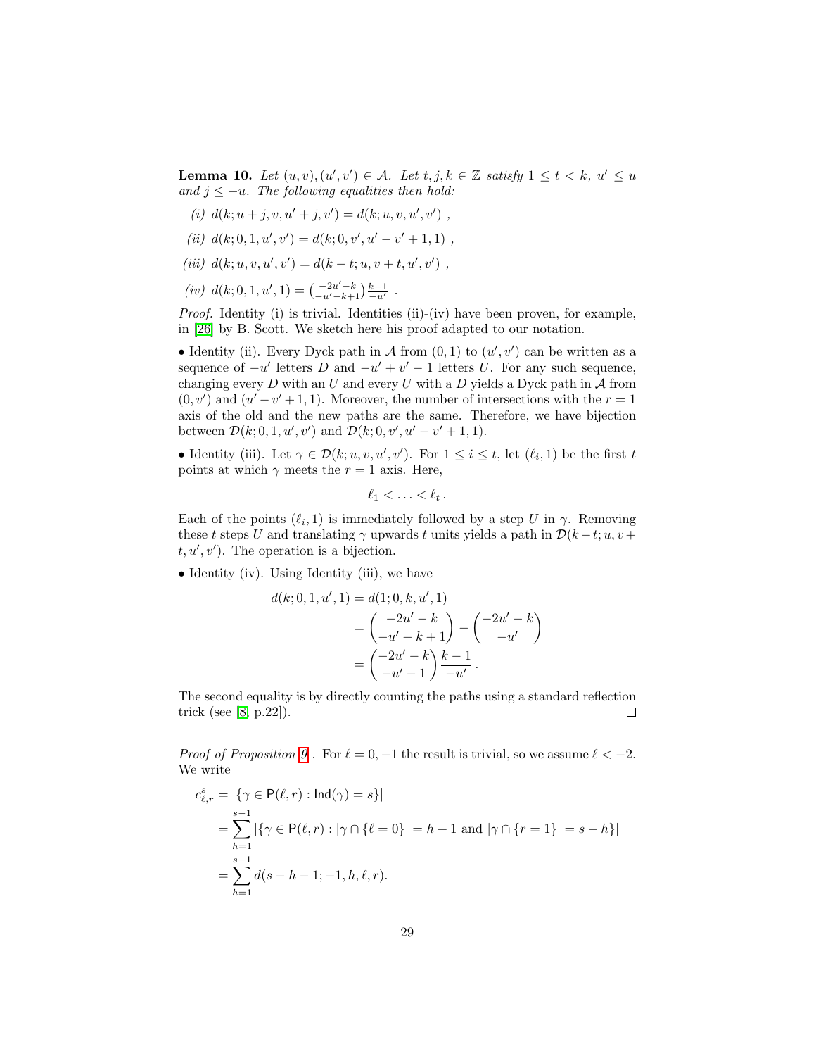<span id="page-28-0"></span>**Lemma 10.** Let  $(u, v), (u', v') \in \mathcal{A}$ . Let  $t, j, k \in \mathbb{Z}$  satisfy  $1 \le t < k$ ,  $u' \le u$ and  $j \leq -u$ . The following equalities then hold:

- (i)  $d(k; u + j, v, u' + j, v') = d(k; u, v, u', v')$ ,
- (ii)  $d(k; 0, 1, u', v') = d(k; 0, v', u' v' + 1, 1)$ ,
- (iii)  $d(k; u, v, u', v') = d(k t; u, v + t, u', v')$ ,
- (iv)  $d(k; 0, 1, u', 1) = \begin{pmatrix} -2u' k \\ -u' k + 1 \end{pmatrix} \frac{k-1}{-u'}$ .

Proof. Identity (i) is trivial. Identities (ii)-(iv) have been proven, for example, in [\[26\]](#page-34-9) by B. Scott. We sketch here his proof adapted to our notation.

• Identity (ii). Every Dyck path in A from  $(0,1)$  to  $(u',v')$  can be written as a sequence of  $-u'$  letters D and  $-u' + v' - 1$  letters U. For any such sequence, changing every  $D$  with an  $U$  and every  $U$  with a  $D$  yields a Dyck path in  $A$  from  $(0, v')$  and  $(u'-v'+1, 1)$ . Moreover, the number of intersections with the  $r = 1$ axis of the old and the new paths are the same. Therefore, we have bijection between  $\mathcal{D}(k; 0, 1, u', v')$  and  $\mathcal{D}(k; 0, v', u' - v' + 1, 1)$ .

• Identity (iii). Let  $\gamma \in \mathcal{D}(k; u, v, u', v')$ . For  $1 \leq i \leq t$ , let  $(\ell_i, 1)$  be the first t points at which  $\gamma$  meets the  $r = 1$  axis. Here,

$$
\ell_1<\ldots<\ell_t.
$$

Each of the points  $(\ell_i, 1)$  is immediately followed by a step U in  $\gamma$ . Removing these t steps U and translating  $\gamma$  upwards t units yields a path in  $\mathcal{D}(k-t;u,v+$  $t, u', v'$ ). The operation is a bijection.

• Identity (iv). Using Identity (iii), we have

 $d(k;$ 

$$
(0,1,u',1) = d(1;0,k,u',1)
$$
  
=  $\begin{pmatrix} -2u'-k \\ -u'-k+1 \end{pmatrix} - \begin{pmatrix} -2u'-k \\ -u' \end{pmatrix}$   
=  $\begin{pmatrix} -2u'-k \\ -u'-1 \end{pmatrix} \frac{k-1}{-u'}.$ 

The second equality is by directly counting the paths using a standard reflection trick (see [\[8,](#page-33-16) p.22]).  $\Box$ 

Proof of Proposition [9](#page-27-1). For  $\ell = 0, -1$  the result is trivial, so we assume  $\ell < -2$ . We write

$$
c_{\ell,r}^s = |\{\gamma \in \mathsf{P}(\ell,r) : \mathsf{Ind}(\gamma) = s\}|
$$
  
= 
$$
\sum_{h=1}^{s-1} |\{\gamma \in \mathsf{P}(\ell,r) : |\gamma \cap \{\ell = 0\}| = h+1 \text{ and } |\gamma \cap \{r = 1\}| = s-h\}|
$$
  
= 
$$
\sum_{h=1}^{s-1} d(s-h-1;-1,h,\ell,r).
$$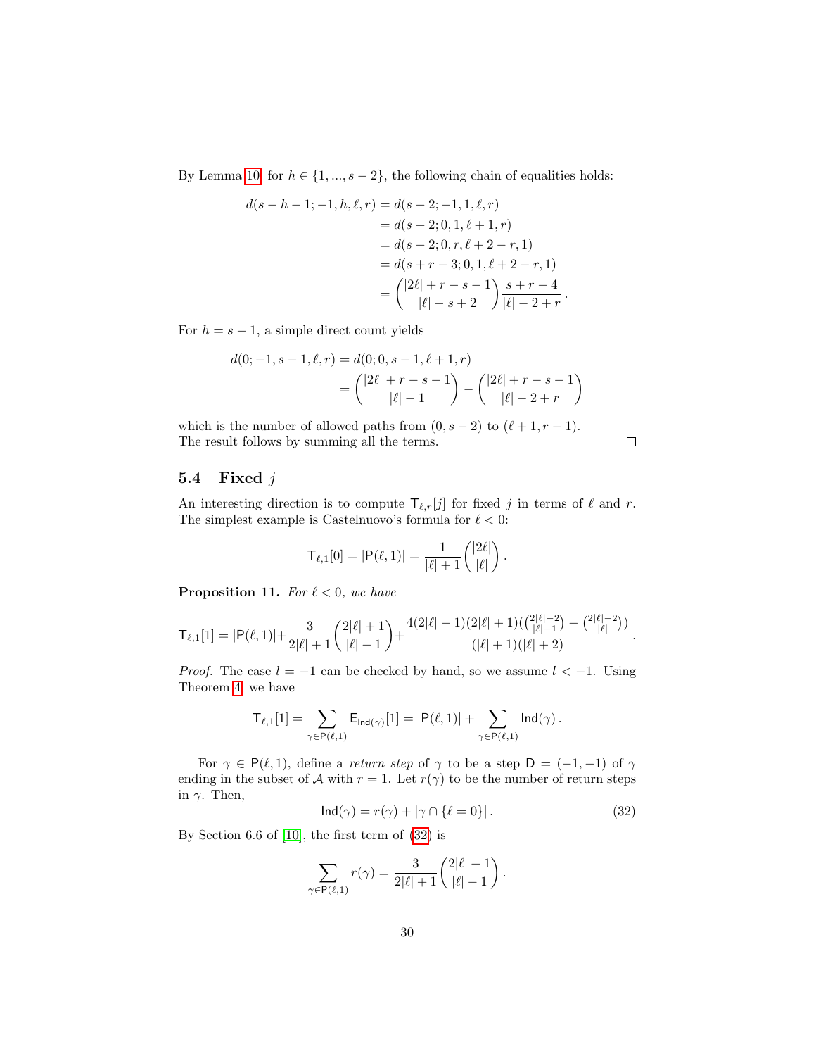By Lemma [10,](#page-28-0) for  $h \in \{1, ..., s-2\}$ , the following chain of equalities holds:

$$
d(s-h-1;-1,h,\ell,r) = d(s-2;-1,1,\ell,r)
$$
  
= d(s-2;0,1,\ell+1,r)  
= d(s-2;0,r,\ell+2-r,1)  
= d(s+r-3;0,1,\ell+2-r,1)  
= 
$$
{2\ell | r-s-1 \choose |\ell|-s+2} \frac{s+r-4}{|\ell|-2+r}.
$$

For  $h = s - 1$ , a simple direct count yields

$$
d(0; -1, s-1, \ell, r) = d(0; 0, s-1, \ell+1, r)
$$
  
= 
$$
{\binom{|2\ell| + r - s - 1}{|\ell| - 1}} - {\binom{|2\ell| + r - s - 1}{|\ell| - 2 + r}}
$$

which is the number of allowed paths from  $(0, s - 2)$  to  $(\ell + 1, r - 1)$ . The result follows by summing all the terms.

 $\Box$ 

#### <span id="page-29-0"></span>5.4 Fixed j

An interesting direction is to compute  $\mathsf{T}_{\ell,r}[j]$  for fixed j in terms of  $\ell$  and r. The simplest example is Castelnuovo's formula for  $\ell < 0$ :

$$
\mathsf{T}_{\ell,1}[0] = |\mathsf{P}(\ell,1)| = \frac{1}{|\ell|+1} \binom{|2\ell|}{|\ell|}.
$$

**Proposition 11.** For  $\ell < 0$ , we have

$$
\mathsf{T}_{\ell,1}[1] = |\mathsf{P}(\ell,1)| + \frac{3}{2|\ell|+1} {2|\ell|+1 \choose |\ell|-1} + \frac{4(2|\ell|-1)(2|\ell|+1)({2|\ell|-2 \choose |\ell|-1}-{2|\ell|-2 \choose |\ell|})}{(|\ell|+1)(|\ell|+2)}.
$$

*Proof.* The case  $l = -1$  can be checked by hand, so we assume  $l < -1$ . Using Theorem [4,](#page-6-0) we have

<span id="page-29-1"></span>
$$
\mathsf{T}_{\ell,1}[1] = \sum_{\gamma \in \mathsf{P}(\ell,1)} \mathsf{E}_{\mathsf{Ind}(\gamma)}[1] = |\mathsf{P}(\ell,1)| + \sum_{\gamma \in \mathsf{P}(\ell,1)} \mathsf{Ind}(\gamma) \,.
$$

For  $\gamma \in P(\ell, 1)$ , define a return step of  $\gamma$  to be a step  $D = (-1, -1)$  of  $\gamma$ ending in the subset of A with  $r = 1$ . Let  $r(\gamma)$  to be the number of return steps in  $\gamma$ . Then,

$$
\mathsf{Ind}(\gamma) = r(\gamma) + |\gamma \cap \{\ell = 0\}|\,. \tag{32}
$$

By Section 6.6 of [\[10\]](#page-33-6), the first term of [\(32\)](#page-29-1) is

$$
\sum_{\gamma \in \mathsf{P}(\ell,1)} r(\gamma) = \frac{3}{2|\ell|+1} {2|\ell|+1 \choose |\ell|-1}.
$$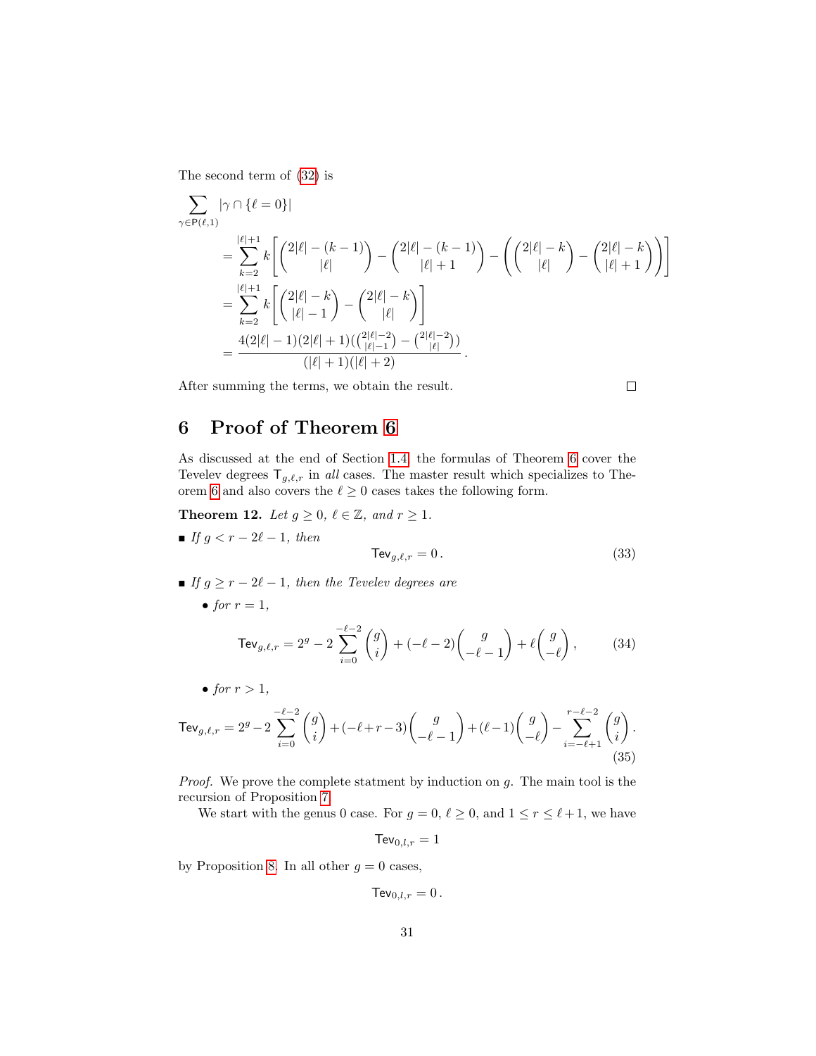The second term of [\(32\)](#page-29-1) is

$$
\sum_{\gamma \in \mathsf{P}(\ell,1)} |\gamma \cap \{\ell = 0\}|
$$
\n
$$
= \sum_{k=2}^{|\ell|+1} k \left[ \binom{2|\ell| - (k-1)}{|\ell|} - \binom{2|\ell| - (k-1)}{|\ell| + 1} - \binom{2|\ell| - k}{|\ell|} - \binom{2|\ell| - k}{|\ell| + 1} \right] \right]
$$
\n
$$
= \sum_{k=2}^{|\ell|+1} k \left[ \binom{2|\ell| - k}{|\ell| - 1} - \binom{2|\ell| - k}{|\ell|} \right]
$$
\n
$$
= \frac{4(2|\ell| - 1)(2|\ell| + 1)(\binom{2|\ell| - 2}{|\ell| - 1} - \binom{2|\ell| - 2}{|\ell|} )}{(|\ell| + 1)(|\ell| + 2)}.
$$

After summing the terms, we obtain the result.

 $\Box$ 

# <span id="page-30-0"></span>6 Proof of Theorem [6](#page-7-0)

As discussed at the end of Section [1.4,](#page-4-1) the formulas of Theorem [6](#page-7-0) cover the Tevelev degrees  $\mathsf{T}_{g,\ell,r}$  in all cases. The master result which specializes to The-orem [6](#page-7-0) and also covers the  $\ell \geq 0$  cases takes the following form.

<span id="page-30-4"></span>**Theorem 12.** Let  $g \ge 0$ ,  $\ell \in \mathbb{Z}$ , and  $r \ge 1$ .

If  $g < r - 2\ell - 1$ , then

<span id="page-30-1"></span>
$$
\text{TeV}_{g,\ell,r} = 0. \tag{33}
$$

- **■** If  $g \ge r 2\ell 1$ , then the Tevelev degrees are
	- for  $r = 1$ ,

<span id="page-30-3"></span><span id="page-30-2"></span>
$$
\text{TeV}_{g,\ell,r} = 2^g - 2 \sum_{i=0}^{-\ell-2} {g \choose i} + (-\ell-2) {g \choose -\ell-1} + \ell {g \choose -\ell}, \tag{34}
$$

• for  $r > 1$ ,

$$
\text{TeV}_{g,\ell,r} = 2^g - 2\sum_{i=0}^{-\ell-2} \binom{g}{i} + (-\ell+r-3) \binom{g}{-\ell-1} + (\ell-1) \binom{g}{-\ell} - \sum_{i=-\ell+1}^{r-\ell-2} \binom{g}{i}.
$$
\n(35)

*Proof.* We prove the complete statment by induction on  $g$ . The main tool is the recursion of Proposition [7.](#page-12-1)

We start with the genus 0 case. For  $g = 0, \ell \ge 0$ , and  $1 \le r \le \ell + 1$ , we have

$$
\mathsf{TeV}_{0,l,r}=1
$$

by Proposition [8.](#page-21-2) In all other  $g = 0$  cases,

$$
\text{TeV}_{0,l,r}=0.
$$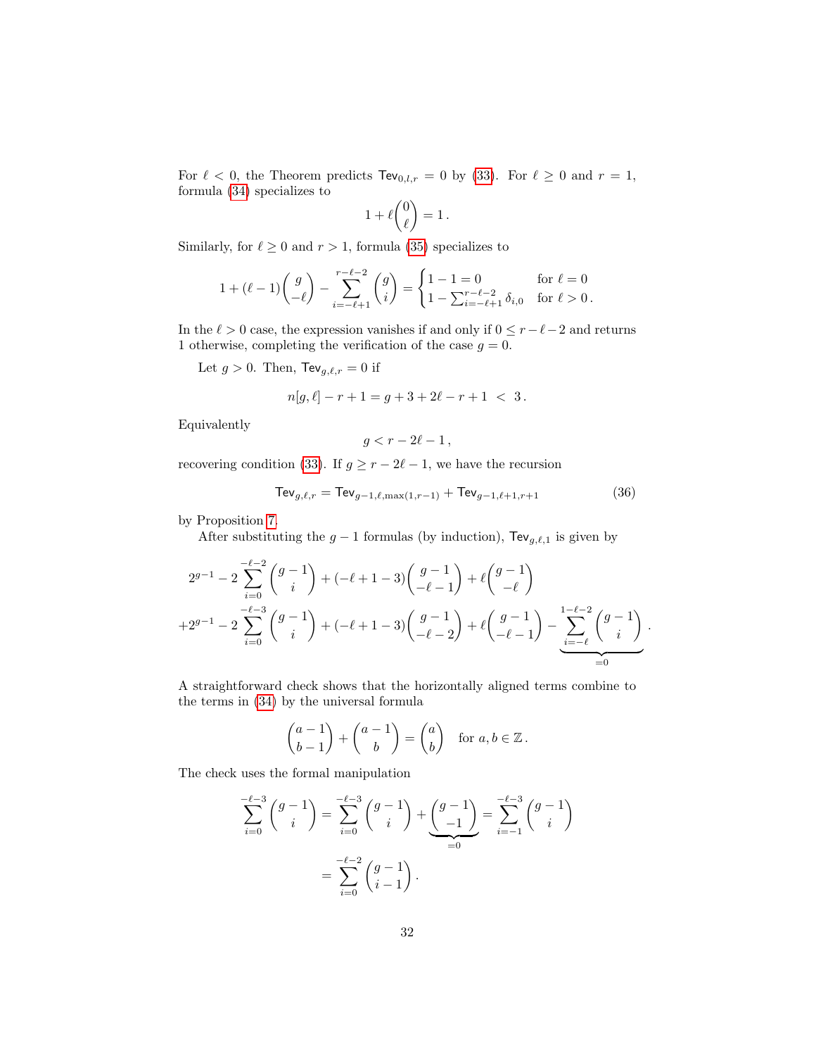For  $\ell < 0$ , the Theorem predicts  $\text{TeV}_{0,l,r} = 0$  by [\(33\)](#page-30-1). For  $\ell \ge 0$  and  $r = 1$ , formula [\(34\)](#page-30-2) specializes to  $\lambda$ 

$$
1+\ell\binom{0}{\ell}=1\,.
$$

Similarly, for  $\ell \geq 0$  and  $r > 1,$  formula [\(35\)](#page-30-3) specializes to

$$
1 + (\ell - 1) \binom{g}{-\ell} - \sum_{i=-\ell+1}^{r-\ell-2} \binom{g}{i} = \begin{cases} 1 - 1 = 0 & \text{for } \ell = 0 \\ 1 - \sum_{i=-\ell+1}^{r-\ell-2} \delta_{i,0} & \text{for } \ell > 0. \end{cases}
$$

In the  $\ell > 0$  case, the expression vanishes if and only if  $0 \leq r-\ell-2$  and returns 1 otherwise, completing the verification of the case  $g = 0$ .

Let  $g > 0$ . Then,  $\text{TeV}_{g,\ell,r} = 0$  if

$$
n[g, \ell] - r + 1 = g + 3 + 2\ell - r + 1 < 3.
$$

Equivalently

<span id="page-31-0"></span>
$$
g < r - 2\ell - 1
$$

recovering condition [\(33\)](#page-30-1). If  $g \ge r - 2\ell - 1$ , we have the recursion

$$
\text{TeV}_{g,\ell,r} = \text{TeV}_{g-1,\ell,\max(1,r-1)} + \text{TeV}_{g-1,\ell+1,r+1}
$$
 (36)

by Proposition [7.](#page-12-1)

After substituting the  $g - 1$  formulas (by induction), Tev<sub>g, $\ell$ ,1</sub> is given by

$$
2^{g-1} - 2\sum_{i=0}^{-\ell-2} \binom{g-1}{i} + (-\ell+1-3)\binom{g-1}{-\ell-1} + \ell\binom{g-1}{-\ell}
$$
  
+2^{g-1} - 2\sum\_{i=0}^{-\ell-3} \binom{g-1}{i} + (-\ell+1-3)\binom{g-1}{-\ell-2} + \ell\binom{g-1}{-\ell-1} - \sum\_{i=-\ell}^{1-\ell-2} \binom{g-1}{i} .

A straightforward check shows that the horizontally aligned terms combine to the terms in [\(34\)](#page-30-2) by the universal formula

$$
\begin{pmatrix} a-1 \\ b-1 \end{pmatrix} + \begin{pmatrix} a-1 \\ b \end{pmatrix} = \begin{pmatrix} a \\ b \end{pmatrix} \text{ for } a, b \in \mathbb{Z}.
$$

The check uses the formal manipulation

$$
\sum_{i=0}^{-\ell-3} {g-1 \choose i} = \sum_{i=0}^{-\ell-3} {g-1 \choose i} + \underbrace{{g-1 \choose -1}}_{=0} = \sum_{i=-1}^{-\ell-3} {g-1 \choose i}
$$

$$
= \sum_{i=0}^{-\ell-2} {g-1 \choose i-1}.
$$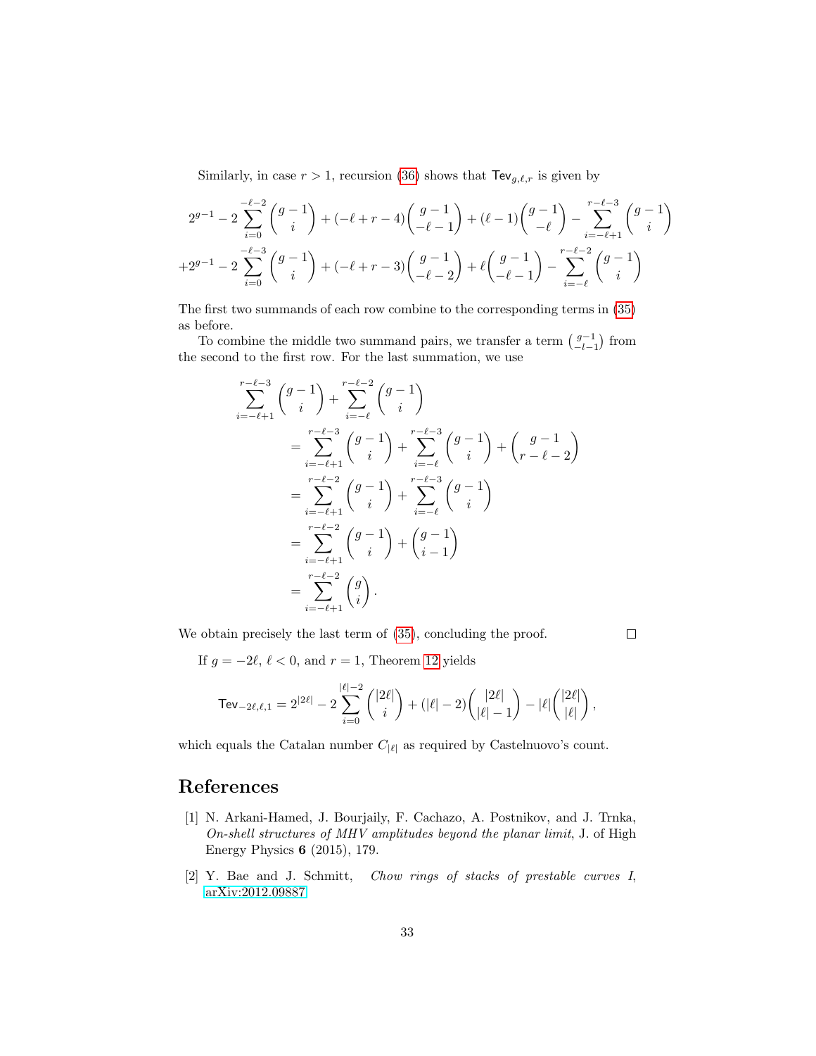Similarly, in case  $r > 1$ , recursion [\(36\)](#page-31-0) shows that  $\text{TeV}_{g,\ell,r}$  is given by

$$
2^{g-1} - 2\sum_{i=0}^{-\ell-2} \binom{g-1}{i} + (-\ell+r-4) \binom{g-1}{-\ell-1} + (\ell-1) \binom{g-1}{-\ell} - \sum_{i=-\ell+1}^{r-\ell-3} \binom{g-1}{i} + 2^{g-1} - 2\sum_{i=0}^{-\ell-3} \binom{g-1}{i} + (-\ell+r-3) \binom{g-1}{-\ell-2} + \ell \binom{g-1}{-\ell-1} - \sum_{i=-\ell}^{r-\ell-2} \binom{g-1}{i}
$$

The first two summands of each row combine to the corresponding terms in [\(35\)](#page-30-3) as before.

To combine the middle two summand pairs, we transfer a term  $\binom{g-1}{-l-1}$  from the second to the first row. For the last summation, we use

$$
\sum_{i=-\ell+1}^{r-\ell-3} \binom{g-1}{i} + \sum_{i=-\ell}^{r-\ell-2} \binom{g-1}{i} \n= \sum_{i=-\ell+1}^{r-\ell-3} \binom{g-1}{i} + \sum_{i=-\ell}^{r-\ell-3} \binom{g-1}{i} + \binom{g-1}{r-\ell-2} \n= \sum_{i=-\ell+1}^{r-\ell-2} \binom{g-1}{i} + \sum_{i=-\ell}^{r-\ell-3} \binom{g-1}{i} \n= \sum_{i=-\ell+1}^{r-\ell-2} \binom{g-1}{i} + \binom{g-1}{i-1} \n= \sum_{i=-\ell+1}^{r-\ell-2} \binom{g}{i} .
$$

We obtain precisely the last term of  $(35)$ , concluding the proof.

 $\Box$ 

If  $g = -2\ell, \, \ell < 0$ , and  $r = 1$ , Theorem [12](#page-30-4) yields

$$
\text{TeV}_{-2\ell,\ell,1} = 2^{|2\ell|} - 2 \sum_{i=0}^{\lvert \ell \rvert-2} \binom{|2\ell|}{i} + (\lvert \ell \rvert-2) \binom{|2\ell|}{\lvert \ell \rvert-1} - \lvert \ell \rvert \binom{|2\ell|}{\lvert \ell \rvert},
$$

which equals the Catalan number  $C_{|\ell|}$  as required by Castelnuovo's count.

# References

- <span id="page-32-0"></span>[1] N. Arkani-Hamed, J. Bourjaily, F. Cachazo, A. Postnikov, and J. Trnka, On-shell structures of MHV amplitudes beyond the planar limit, J. of High Energy Physics 6 (2015), 179.
- <span id="page-32-1"></span>[2] Y. Bae and J. Schmitt, Chow rings of stacks of prestable curves I, [arXiv:2012.09887.](https://arxiv.org/abs/2012.09887)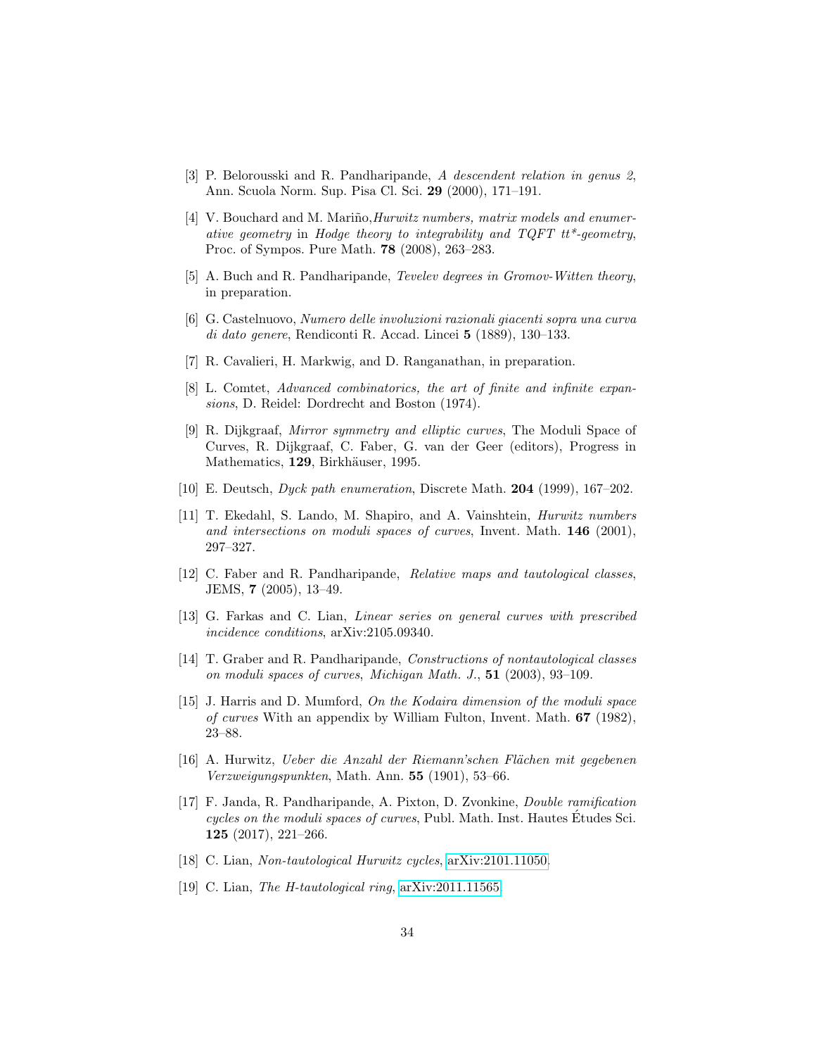- <span id="page-33-12"></span>[3] P. Belorousski and R. Pandharipande, A descendent relation in genus 2, Ann. Scuola Norm. Sup. Pisa Cl. Sci. 29 (2000), 171–191.
- <span id="page-33-1"></span>[4] V. Bouchard and M. Mariño, *Hurwitz numbers, matrix models and enumer*ative geometry in Hodge theory to integrability and  $TQFT$   $tt^*$ -geometry, Proc. of Sympos. Pure Math. 78 (2008), 263–283.
- <span id="page-33-14"></span>[5] A. Buch and R. Pandharipande, *Tevelev degrees in Gromov-Witten theory*, in preparation.
- <span id="page-33-7"></span>[6] G. Castelnuovo, Numero delle involuzioni razionali giacenti sopra una curva di dato genere, Rendiconti R. Accad. Lincei 5 (1889), 130–133.
- <span id="page-33-8"></span>[7] R. Cavalieri, H. Markwig, and D. Ranganathan, in preparation.
- <span id="page-33-16"></span>[8] L. Comtet, Advanced combinatorics, the art of finite and infinite expansions, D. Reidel: Dordrecht and Boston (1974).
- <span id="page-33-2"></span>[9] R. Dijkgraaf, Mirror symmetry and elliptic curves, The Moduli Space of Curves, R. Dijkgraaf, C. Faber, G. van der Geer (editors), Progress in Mathematics, 129, Birkhäuser, 1995.
- <span id="page-33-6"></span>[10] E. Deutsch, Dyck path enumeration, Discrete Math. 204 (1999), 167–202.
- <span id="page-33-3"></span>[11] T. Ekedahl, S. Lando, M. Shapiro, and A. Vainshtein, Hurwitz numbers and intersections on moduli spaces of curves, Invent. Math.  $146$  (2001), 297–327.
- <span id="page-33-4"></span>[12] C. Faber and R. Pandharipande, Relative maps and tautological classes, JEMS, 7 (2005), 13–49.
- <span id="page-33-9"></span>[13] G. Farkas and C. Lian, *Linear series on general curves with prescribed* incidence conditions, arXiv:2105.09340.
- <span id="page-33-15"></span>[14] T. Graber and R. Pandharipande, Constructions of nontautological classes on moduli spaces of curves, Michigan Math. J., 51 (2003), 93–109.
- <span id="page-33-5"></span>[15] J. Harris and D. Mumford, On the Kodaira dimension of the moduli space of curves With an appendix by William Fulton, Invent. Math. 67 (1982), 23–88.
- <span id="page-33-0"></span>[16] A. Hurwitz, Ueber die Anzahl der Riemann'schen Flächen mit gegebenen Verzweigungspunkten, Math. Ann. 55 (1901), 53–66.
- <span id="page-33-11"></span>[17] F. Janda, R. Pandharipande, A. Pixton, D. Zvonkine, Double ramification cycles on the moduli spaces of curves, Publ. Math. Inst. Hautes Etudes Sci. 125 (2017), 221–266.
- <span id="page-33-13"></span>[18] C. Lian, Non-tautological Hurwitz cycles, [arXiv:2101.11050.](https://arxiv.org/abs/2101.11050)
- <span id="page-33-10"></span>[19] C. Lian, The H-tautological ring, [arXiv:2011.11565.](https://arxiv.org/abs/2011.11565)